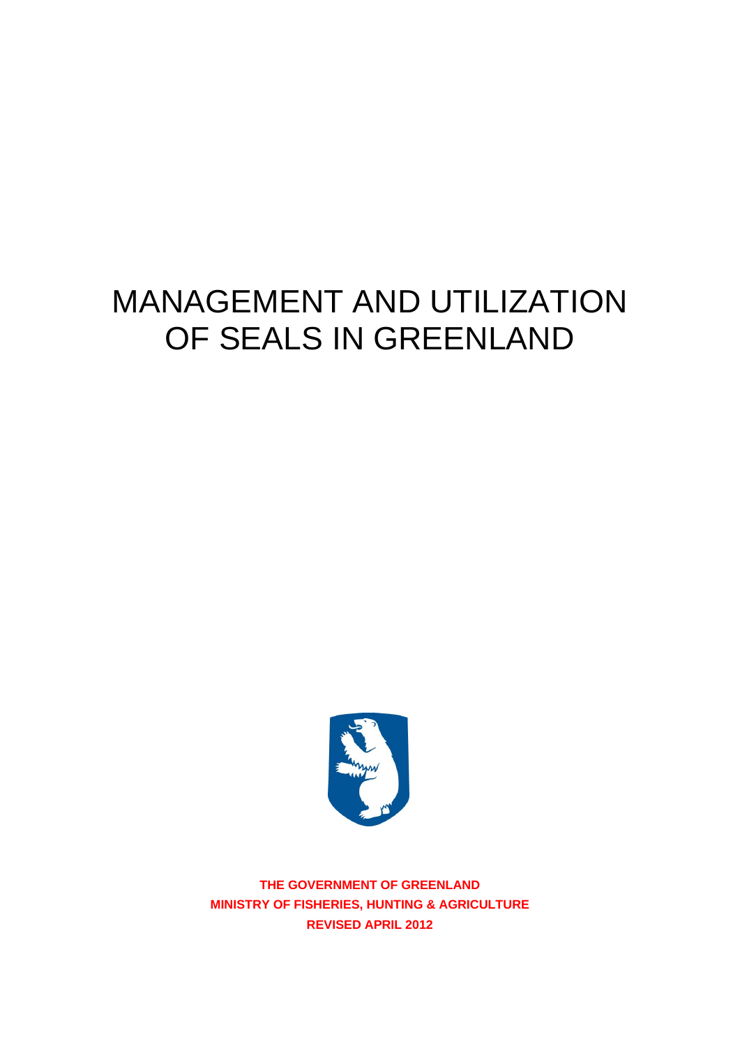# MANAGEMENT AND UTILIZATION OF SEALS IN GREENLAND



**THE GOVERNMENT OF GREENLAND MINISTRY OF FISHERIES, HUNTING & AGRICULTURE REVISED APRIL 2012**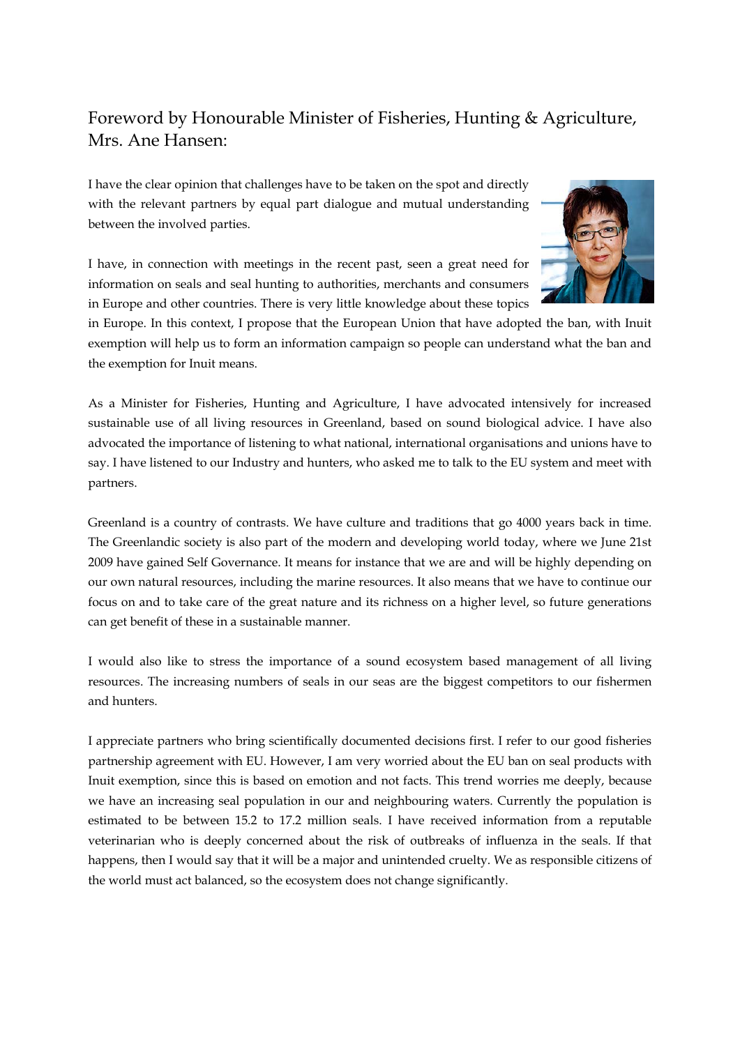### Foreword by Honourable Minister of Fisheries, Hunting & Agriculture, Mrs. Ane Hansen:

I have the clear opinion that challenges have to be taken on the spot and directly with the relevant partners by equal part dialogue and mutual understanding between the involved parties.

I have, in connection with meetings in the recent past, seen a great need for information on seals and seal hunting to authorities, merchants and consumers in Europe and other countries. There is very little knowledge about these topics



in Europe. In this context, I propose that the European Union that have adopted the ban, with Inuit exemption will help us to form an information campaign so people can understand what the ban and the exemption for Inuit means.

As a Minister for Fisheries, Hunting and Agriculture, I have advocated intensively for increased sustainable use of all living resources in Greenland, based on sound biological advice. I have also advocated the importance of listening to what national, international organisations and unions have to say. I have listened to our Industry and hunters, who asked me to talk to the EU system and meet with partners.

Greenland is a country of contrasts. We have culture and traditions that go 4000 years back in time. The Greenlandic society is also part of the modern and developing world today, where we June 21st 2009 have gained Self Governance. It means for instance that we are and will be highly depending on our own natural resources, including the marine resources. It also means that we have to continue our focus on and to take care of the great nature and its richness on a higher level, so future generations can get benefit of these in a sustainable manner.

I would also like to stress the importance of a sound ecosystem based management of all living resources. The increasing numbers of seals in our seas are the biggest competitors to our fishermen and hunters.

I appreciate partners who bring scientifically documented decisions first. I refer to our good fisheries partnership agreement with EU. However, I am very worried about the EU ban on seal products with Inuit exemption, since this is based on emotion and not facts. This trend worries me deeply, because we have an increasing seal population in our and neighbouring waters. Currently the population is estimated to be between 15.2 to 17.2 million seals. I have received information from a reputable veterinarian who is deeply concerned about the risk of outbreaks of influenza in the seals. If that happens, then I would say that it will be a major and unintended cruelty. We as responsible citizens of the world must act balanced, so the ecosystem does not change significantly.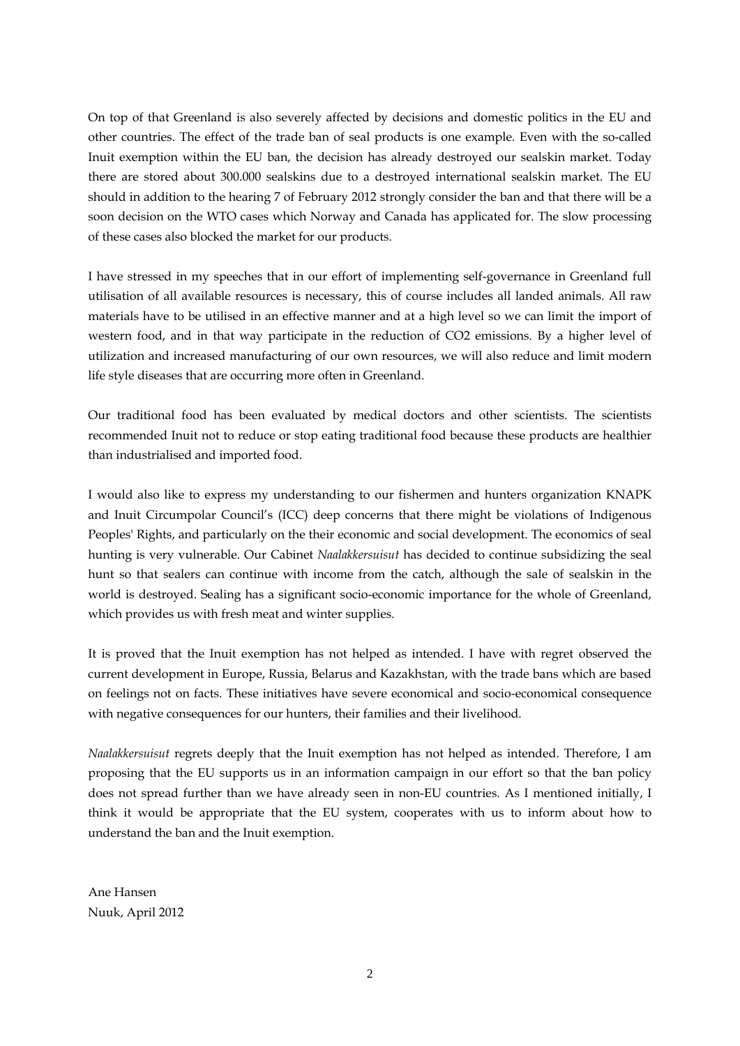On top of that Greenland is also severely affected by decisions and domestic politics in the EU and other countries. The effect of the trade ban of seal products is one example. Even with the so-called Inuit exemption within the EU ban, the decision has already destroyed our sealskin market. Today there are stored about 300.000 sealskins due to a destroyed international sealskin market. The EU should in addition to the hearing 7 of February 2012 strongly consider the ban and that there will be a soon decision on the WTO cases which Norway and Canada has applicated for. The slow processing of these cases also blocked the market for our products.

I have stressed in my speeches that in our effort of implementing self-governance in Greenland full utilisation of all available resources is necessary, this of course includes all landed animals. All raw materials have to be utilised in an effective manner and at a high level so we can limit the import of western food, and in that way participate in the reduction of CO2 emissions. By a higher level of utilization and increased manufacturing of our own resources, we will also reduce and limit modern life style diseases that are occurring more often in Greenland.

Our traditional food has been evaluated by medical doctors and other scientists. The scientists recommended Inuit not to reduce or stop eating traditional food because these products are healthier than industrialised and imported food.

I would also like to express my understanding to our fishermen and hunters organization KNAPK and Inuit Circumpolar Council's (ICC) deep concerns that there might be violations of Indigenous Peoples' Rights, and particularly on the their economic and social development. The economics of seal hunting is very vulnerable. Our Cabinet *Naalakkersuisut* has decided to continue subsidizing the seal hunt so that sealers can continue with income from the catch, although the sale of sealskin in the world is destroyed. Sealing has a significant socio-economic importance for the whole of Greenland, which provides us with fresh meat and winter supplies.

It is proved that the Inuit exemption has not helped as intended. I have with regret observed the current development in Europe, Russia, Belarus and Kazakhstan, with the trade bans which are based on feelings not on facts. These initiatives have severe economical and socio-economical consequence with negative consequences for our hunters, their families and their livelihood.

*Naalakkersuisut* regrets deeply that the Inuit exemption has not helped as intended. Therefore, I am proposing that the EU supports us in an information campaign in our effort so that the ban policy does not spread further than we have already seen in non-EU countries. As I mentioned initially, I think it would be appropriate that the EU system, cooperates with us to inform about how to understand the ban and the Inuit exemption.

Ane Hansen Nuuk, April 2012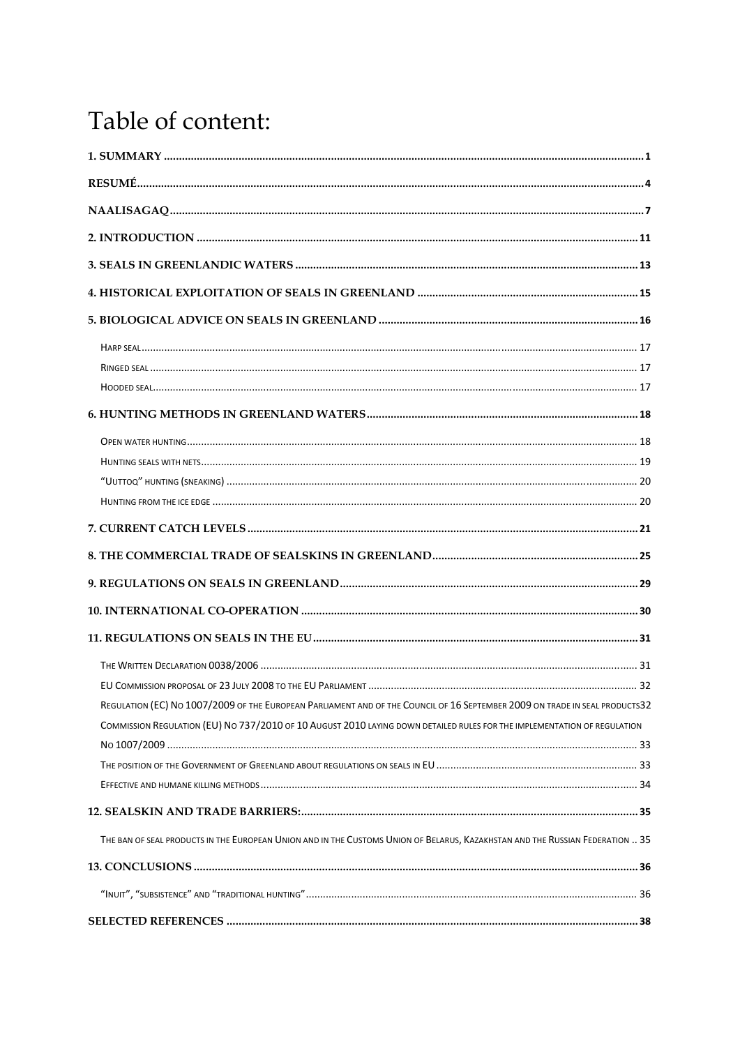## Table of content:

| REGULATION (EC) NO 1007/2009 OF THE EUROPEAN PARLIAMENT AND OF THE COUNCIL OF 16 SEPTEMBER 2009 ON TRADE IN SEAL PRODUCTS32   |  |
|-------------------------------------------------------------------------------------------------------------------------------|--|
| COMMISSION REGULATION (EU) NO 737/2010 OF 10 AUGUST 2010 LAYING DOWN DETAILED RULES FOR THE IMPLEMENTATION OF REGULATION      |  |
|                                                                                                                               |  |
|                                                                                                                               |  |
|                                                                                                                               |  |
|                                                                                                                               |  |
| THE BAN OF SEAL PRODUCTS IN THE EUROPEAN UNION AND IN THE CUSTOMS UNION OF BELARUS, KAZAKHSTAN AND THE RUSSIAN FEDERATION  35 |  |
|                                                                                                                               |  |
|                                                                                                                               |  |
|                                                                                                                               |  |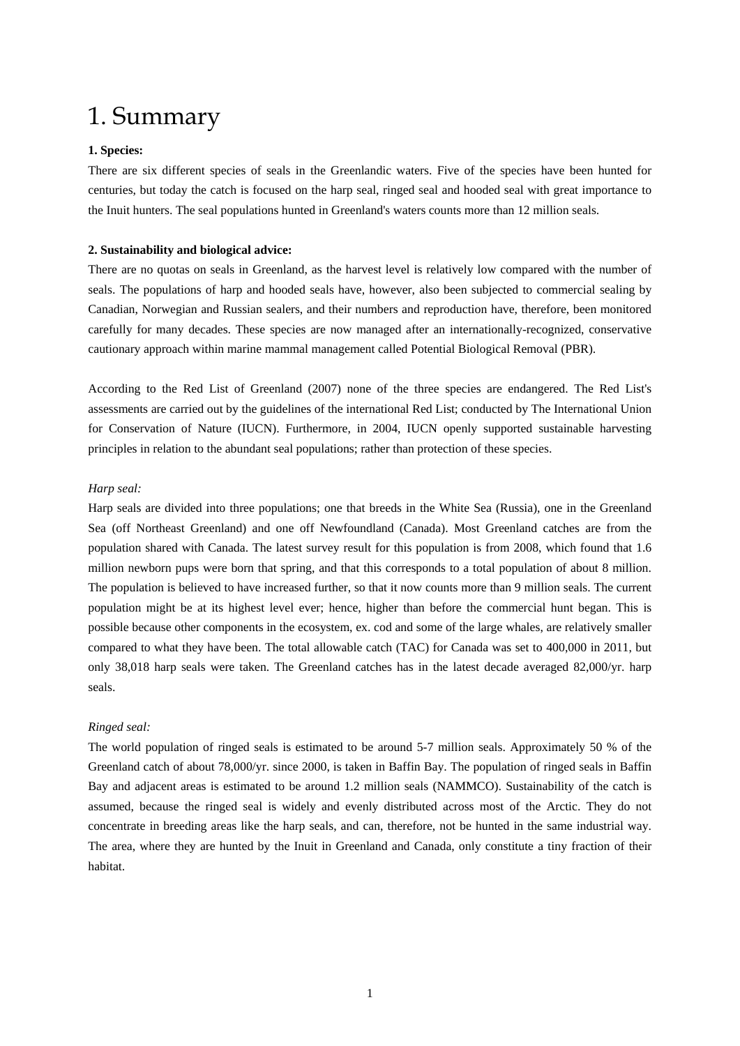### 1. Summary

### **1. Species:**

There are six different species of seals in the Greenlandic waters. Five of the species have been hunted for centuries, but today the catch is focused on the harp seal, ringed seal and hooded seal with great importance to the Inuit hunters. The seal populations hunted in Greenland's waters counts more than 12 million seals.

### **2. Sustainability and biological advice:**

There are no quotas on seals in Greenland, as the harvest level is relatively low compared with the number of seals. The populations of harp and hooded seals have, however, also been subjected to commercial sealing by Canadian, Norwegian and Russian sealers, and their numbers and reproduction have, therefore, been monitored carefully for many decades. These species are now managed after an internationally-recognized, conservative cautionary approach within marine mammal management called Potential Biological Removal (PBR).

According to the Red List of Greenland (2007) none of the three species are endangered. The Red List's assessments are carried out by the guidelines of the international Red List; conducted by The International Union for Conservation of Nature (IUCN). Furthermore, in 2004, IUCN openly supported sustainable harvesting principles in relation to the abundant seal populations; rather than protection of these species.

### *Harp seal:*

Harp seals are divided into three populations; one that breeds in the White Sea (Russia), one in the Greenland Sea (off Northeast Greenland) and one off Newfoundland (Canada). Most Greenland catches are from the population shared with Canada. The latest survey result for this population is from 2008, which found that 1.6 million newborn pups were born that spring, and that this corresponds to a total population of about 8 million. The population is believed to have increased further, so that it now counts more than 9 million seals. The current population might be at its highest level ever; hence, higher than before the commercial hunt began. This is possible because other components in the ecosystem, ex. cod and some of the large whales, are relatively smaller compared to what they have been. The total allowable catch (TAC) for Canada was set to 400,000 in 2011, but only 38,018 harp seals were taken. The Greenland catches has in the latest decade averaged 82,000/yr. harp seals.

#### *Ringed seal:*

The world population of ringed seals is estimated to be around 5-7 million seals. Approximately 50 % of the Greenland catch of about 78,000/yr. since 2000, is taken in Baffin Bay. The population of ringed seals in Baffin Bay and adjacent areas is estimated to be around 1.2 million seals (NAMMCO). Sustainability of the catch is assumed, because the ringed seal is widely and evenly distributed across most of the Arctic. They do not concentrate in breeding areas like the harp seals, and can, therefore, not be hunted in the same industrial way. The area, where they are hunted by the Inuit in Greenland and Canada, only constitute a tiny fraction of their habitat.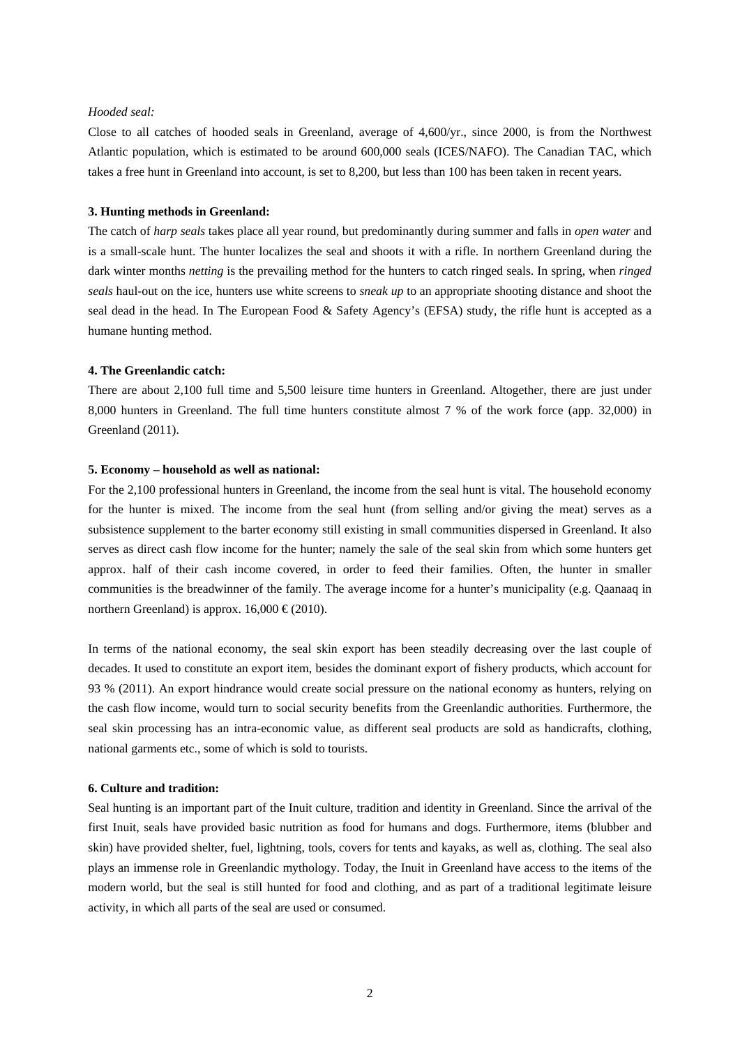#### *Hooded seal:*

Close to all catches of hooded seals in Greenland, average of 4,600/yr., since 2000, is from the Northwest Atlantic population, which is estimated to be around 600,000 seals (ICES/NAFO). The Canadian TAC, which takes a free hunt in Greenland into account, is set to 8,200, but less than 100 has been taken in recent years.

### **3. Hunting methods in Greenland:**

The catch of *harp seals* takes place all year round, but predominantly during summer and falls in *open water* and is a small-scale hunt. The hunter localizes the seal and shoots it with a rifle. In northern Greenland during the dark winter months *netting* is the prevailing method for the hunters to catch ringed seals. In spring, when *ringed seals* haul-out on the ice, hunters use white screens to *sneak up* to an appropriate shooting distance and shoot the seal dead in the head. In The European Food & Safety Agency's (EFSA) study, the rifle hunt is accepted as a humane hunting method.

### **4. The Greenlandic catch:**

There are about 2,100 full time and 5,500 leisure time hunters in Greenland. Altogether, there are just under 8,000 hunters in Greenland. The full time hunters constitute almost 7 % of the work force (app. 32,000) in Greenland (2011).

#### **5. Economy – household as well as national:**

For the 2,100 professional hunters in Greenland, the income from the seal hunt is vital. The household economy for the hunter is mixed. The income from the seal hunt (from selling and/or giving the meat) serves as a subsistence supplement to the barter economy still existing in small communities dispersed in Greenland. It also serves as direct cash flow income for the hunter; namely the sale of the seal skin from which some hunters get approx. half of their cash income covered, in order to feed their families. Often, the hunter in smaller communities is the breadwinner of the family. The average income for a hunter's municipality (e.g. Qaanaaq in northern Greenland) is approx.  $16,000 \in (2010)$ .

In terms of the national economy, the seal skin export has been steadily decreasing over the last couple of decades. It used to constitute an export item, besides the dominant export of fishery products, which account for 93 % (2011). An export hindrance would create social pressure on the national economy as hunters, relying on the cash flow income, would turn to social security benefits from the Greenlandic authorities. Furthermore, the seal skin processing has an intra-economic value, as different seal products are sold as handicrafts, clothing, national garments etc., some of which is sold to tourists.

#### **6. Culture and tradition:**

Seal hunting is an important part of the Inuit culture, tradition and identity in Greenland. Since the arrival of the first Inuit, seals have provided basic nutrition as food for humans and dogs. Furthermore, items (blubber and skin) have provided shelter, fuel, lightning, tools, covers for tents and kayaks, as well as, clothing. The seal also plays an immense role in Greenlandic mythology. Today, the Inuit in Greenland have access to the items of the modern world, but the seal is still hunted for food and clothing, and as part of a traditional legitimate leisure activity, in which all parts of the seal are used or consumed.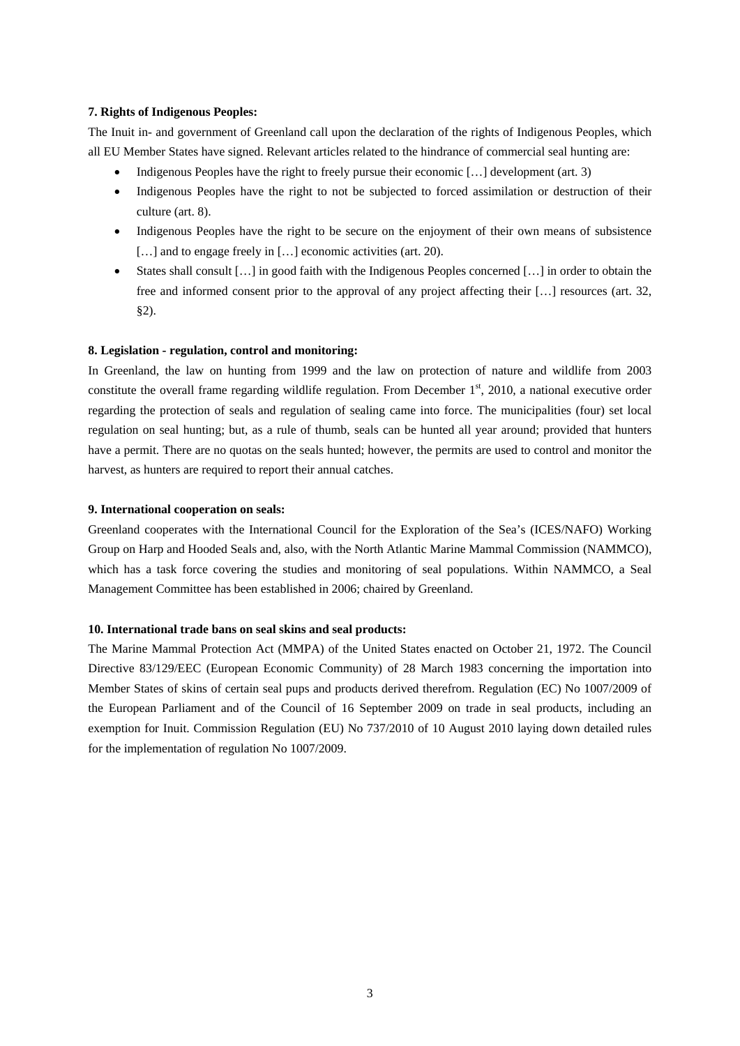### **7. Rights of Indigenous Peoples:**

The Inuit in- and government of Greenland call upon the declaration of the rights of Indigenous Peoples, which all EU Member States have signed. Relevant articles related to the hindrance of commercial seal hunting are:

- Indigenous Peoples have the right to freely pursue their economic […] development (art. 3)
- Indigenous Peoples have the right to not be subjected to forced assimilation or destruction of their culture (art. 8).
- Indigenous Peoples have the right to be secure on the enjoyment of their own means of subsistence [...] and to engage freely in [...] economic activities (art. 20).
- States shall consult […] in good faith with the Indigenous Peoples concerned […] in order to obtain the free and informed consent prior to the approval of any project affecting their […] resources (art. 32, §2).

### **8. Legislation - regulation, control and monitoring:**

In Greenland, the law on hunting from 1999 and the law on protection of nature and wildlife from 2003 constitute the overall frame regarding wildlife regulation. From December  $1<sup>st</sup>$ , 2010, a national executive order regarding the protection of seals and regulation of sealing came into force. The municipalities (four) set local regulation on seal hunting; but, as a rule of thumb, seals can be hunted all year around; provided that hunters have a permit. There are no quotas on the seals hunted; however, the permits are used to control and monitor the harvest, as hunters are required to report their annual catches.

### **9. International cooperation on seals:**

Greenland cooperates with the International Council for the Exploration of the Sea's (ICES/NAFO) Working Group on Harp and Hooded Seals and, also, with the North Atlantic Marine Mammal Commission (NAMMCO), which has a task force covering the studies and monitoring of seal populations. Within NAMMCO, a Seal Management Committee has been established in 2006; chaired by Greenland.

#### **10. International trade bans on seal skins and seal products:**

The Marine Mammal Protection Act (MMPA) of the United States enacted on October 21, 1972. The Council Directive 83/129/EEC (European Economic Community) of 28 March 1983 concerning the importation into Member States of skins of certain seal pups and products derived therefrom. Regulation (EC) No 1007/2009 of the European Parliament and of the Council of 16 September 2009 on trade in seal products, including an exemption for Inuit. Commission Regulation (EU) No 737/2010 of 10 August 2010 laying down detailed rules for the implementation of regulation No 1007/2009.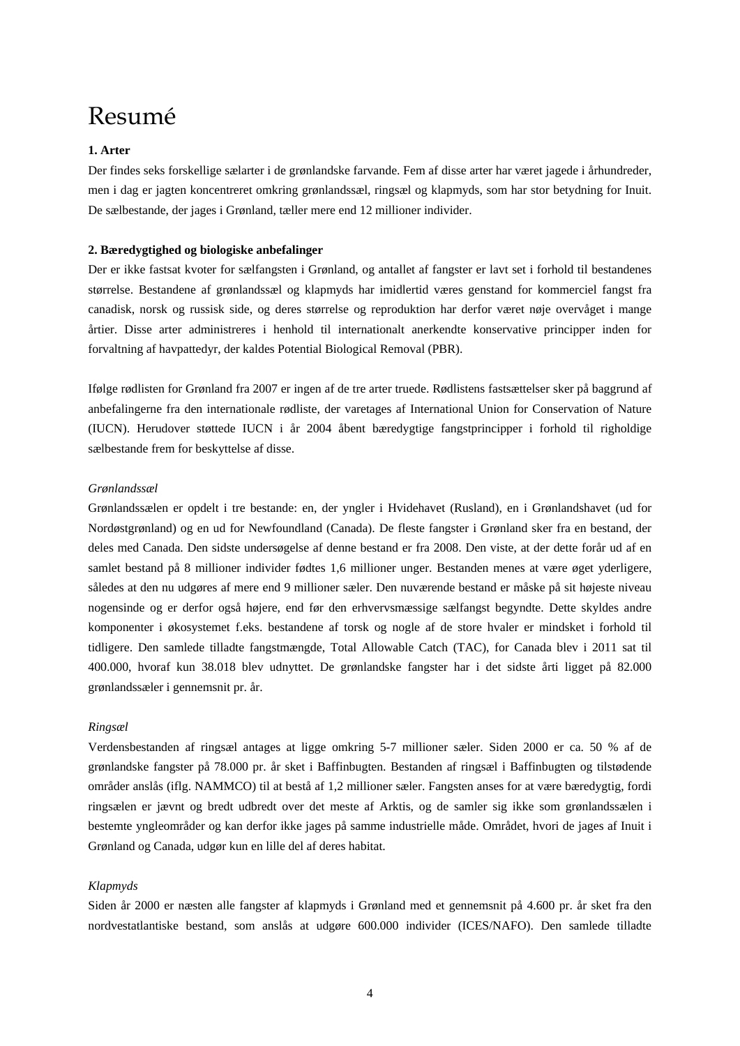### Resumé

### **1. Arter**

Der findes seks forskellige sælarter i de grønlandske farvande. Fem af disse arter har været jagede i århundreder, men i dag er jagten koncentreret omkring grønlandssæl, ringsæl og klapmyds, som har stor betydning for Inuit. De sælbestande, der jages i Grønland, tæller mere end 12 millioner individer.

### **2. Bæredygtighed og biologiske anbefalinger**

Der er ikke fastsat kvoter for sælfangsten i Grønland, og antallet af fangster er lavt set i forhold til bestandenes størrelse. Bestandene af grønlandssæl og klapmyds har imidlertid væres genstand for kommerciel fangst fra canadisk, norsk og russisk side, og deres størrelse og reproduktion har derfor været nøje overvåget i mange årtier. Disse arter administreres i henhold til internationalt anerkendte konservative principper inden for forvaltning af havpattedyr, der kaldes Potential Biological Removal (PBR).

Ifølge rødlisten for Grønland fra 2007 er ingen af de tre arter truede. Rødlistens fastsættelser sker på baggrund af anbefalingerne fra den internationale rødliste, der varetages af International Union for Conservation of Nature (IUCN). Herudover støttede IUCN i år 2004 åbent bæredygtige fangstprincipper i forhold til righoldige sælbestande frem for beskyttelse af disse.

### *Grønlandssæl*

Grønlandssælen er opdelt i tre bestande: en, der yngler i Hvidehavet (Rusland), en i Grønlandshavet (ud for Nordøstgrønland) og en ud for Newfoundland (Canada). De fleste fangster i Grønland sker fra en bestand, der deles med Canada. Den sidste undersøgelse af denne bestand er fra 2008. Den viste, at der dette forår ud af en samlet bestand på 8 millioner individer fødtes 1,6 millioner unger. Bestanden menes at være øget yderligere, således at den nu udgøres af mere end 9 millioner sæler. Den nuværende bestand er måske på sit højeste niveau nogensinde og er derfor også højere, end før den erhvervsmæssige sælfangst begyndte. Dette skyldes andre komponenter i økosystemet f.eks. bestandene af torsk og nogle af de store hvaler er mindsket i forhold til tidligere. Den samlede tilladte fangstmængde, Total Allowable Catch (TAC), for Canada blev i 2011 sat til 400.000, hvoraf kun 38.018 blev udnyttet. De grønlandske fangster har i det sidste årti ligget på 82.000 grønlandssæler i gennemsnit pr. år.

#### *Ringsæl*

Verdensbestanden af ringsæl antages at ligge omkring 5-7 millioner sæler. Siden 2000 er ca. 50 % af de grønlandske fangster på 78.000 pr. år sket i Baffinbugten. Bestanden af ringsæl i Baffinbugten og tilstødende områder anslås (iflg. NAMMCO) til at bestå af 1,2 millioner sæler. Fangsten anses for at være bæredygtig, fordi ringsælen er jævnt og bredt udbredt over det meste af Arktis, og de samler sig ikke som grønlandssælen i bestemte yngleområder og kan derfor ikke jages på samme industrielle måde. Området, hvori de jages af Inuit i Grønland og Canada, udgør kun en lille del af deres habitat.

#### *Klapmyds*

Siden år 2000 er næsten alle fangster af klapmyds i Grønland med et gennemsnit på 4.600 pr. år sket fra den nordvestatlantiske bestand, som anslås at udgøre 600.000 individer (ICES/NAFO). Den samlede tilladte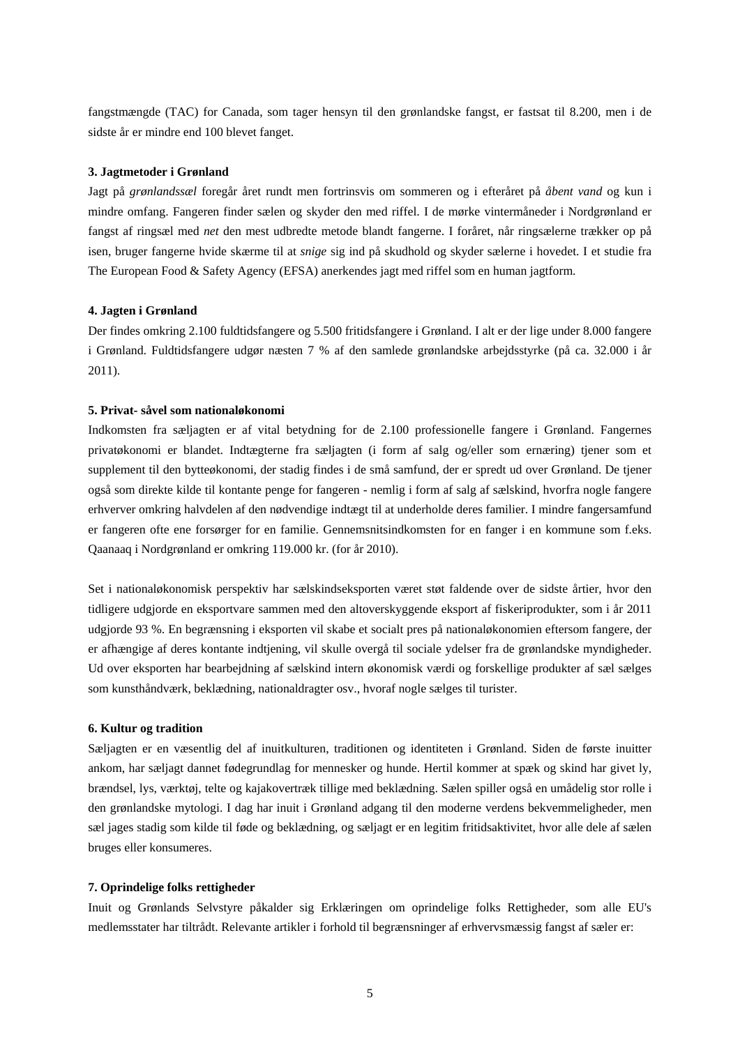fangstmængde (TAC) for Canada, som tager hensyn til den grønlandske fangst, er fastsat til 8.200, men i de sidste år er mindre end 100 blevet fanget.

### **3. Jagtmetoder i Grønland**

Jagt på *grønlandssæl* foregår året rundt men fortrinsvis om sommeren og i efteråret på *åbent vand* og kun i mindre omfang. Fangeren finder sælen og skyder den med riffel. I de mørke vintermåneder i Nordgrønland er fangst af ringsæl med *net* den mest udbredte metode blandt fangerne. I foråret, når ringsælerne trækker op på isen, bruger fangerne hvide skærme til at *snige* sig ind på skudhold og skyder sælerne i hovedet. I et studie fra The European Food & Safety Agency (EFSA) anerkendes jagt med riffel som en human jagtform.

### **4. Jagten i Grønland**

Der findes omkring 2.100 fuldtidsfangere og 5.500 fritidsfangere i Grønland. I alt er der lige under 8.000 fangere i Grønland. Fuldtidsfangere udgør næsten 7 % af den samlede grønlandske arbejdsstyrke (på ca. 32.000 i år 2011).

#### **5. Privat- såvel som nationaløkonomi**

Indkomsten fra sæljagten er af vital betydning for de 2.100 professionelle fangere i Grønland. Fangernes privatøkonomi er blandet. Indtægterne fra sæljagten (i form af salg og/eller som ernæring) tjener som et supplement til den bytteøkonomi, der stadig findes i de små samfund, der er spredt ud over Grønland. De tjener også som direkte kilde til kontante penge for fangeren - nemlig i form af salg af sælskind, hvorfra nogle fangere erhverver omkring halvdelen af den nødvendige indtægt til at underholde deres familier. I mindre fangersamfund er fangeren ofte ene forsørger for en familie. Gennemsnitsindkomsten for en fanger i en kommune som f.eks. Qaanaaq i Nordgrønland er omkring 119.000 kr. (for år 2010).

Set i nationaløkonomisk perspektiv har sælskindseksporten været støt faldende over de sidste årtier, hvor den tidligere udgjorde en eksportvare sammen med den altoverskyggende eksport af fiskeriprodukter, som i år 2011 udgjorde 93 %. En begrænsning i eksporten vil skabe et socialt pres på nationaløkonomien eftersom fangere, der er afhængige af deres kontante indtjening, vil skulle overgå til sociale ydelser fra de grønlandske myndigheder. Ud over eksporten har bearbejdning af sælskind intern økonomisk værdi og forskellige produkter af sæl sælges som kunsthåndværk, beklædning, nationaldragter osv., hvoraf nogle sælges til turister.

#### **6. Kultur og tradition**

Sæljagten er en væsentlig del af inuitkulturen, traditionen og identiteten i Grønland. Siden de første inuitter ankom, har sæljagt dannet fødegrundlag for mennesker og hunde. Hertil kommer at spæk og skind har givet ly, brændsel, lys, værktøj, telte og kajakovertræk tillige med beklædning. Sælen spiller også en umådelig stor rolle i den grønlandske mytologi. I dag har inuit i Grønland adgang til den moderne verdens bekvemmeligheder, men sæl jages stadig som kilde til føde og beklædning, og sæljagt er en legitim fritidsaktivitet, hvor alle dele af sælen bruges eller konsumeres.

#### **7. Oprindelige folks rettigheder**

Inuit og Grønlands Selvstyre påkalder sig Erklæringen om oprindelige folks Rettigheder, som alle EU's medlemsstater har tiltrådt. Relevante artikler i forhold til begrænsninger af erhvervsmæssig fangst af sæler er: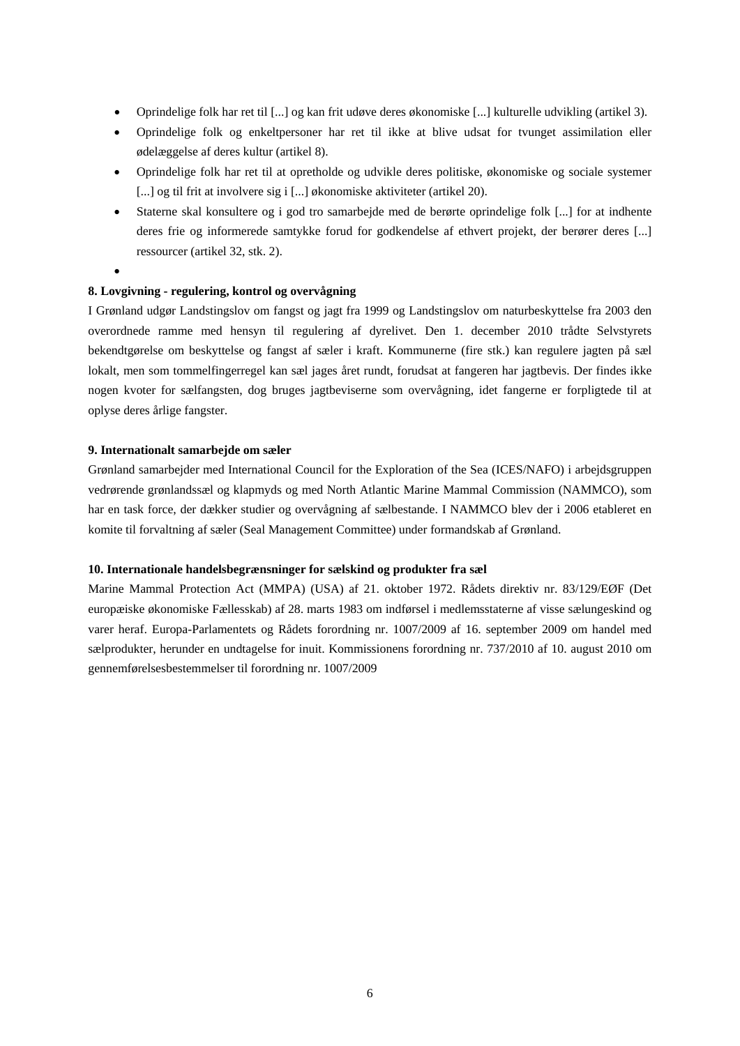- Oprindelige folk har ret til [...] og kan frit udøve deres økonomiske [...] kulturelle udvikling (artikel 3).
- Oprindelige folk og enkeltpersoner har ret til ikke at blive udsat for tvunget assimilation eller ødelæggelse af deres kultur (artikel 8).
- Oprindelige folk har ret til at opretholde og udvikle deres politiske, økonomiske og sociale systemer [...] og til frit at involvere sig i [...] økonomiske aktiviteter (artikel 20).
- Staterne skal konsultere og i god tro samarbejde med de berørte oprindelige folk [...] for at indhente deres frie og informerede samtykke forud for godkendelse af ethvert projekt, der berører deres [...] ressourcer (artikel 32, stk. 2).
- $\bullet$

### **8. Lovgivning - regulering, kontrol og overvågning**

I Grønland udgør Landstingslov om fangst og jagt fra 1999 og Landstingslov om naturbeskyttelse fra 2003 den overordnede ramme med hensyn til regulering af dyrelivet. Den 1. december 2010 trådte Selvstyrets bekendtgørelse om beskyttelse og fangst af sæler i kraft. Kommunerne (fire stk.) kan regulere jagten på sæl lokalt, men som tommelfingerregel kan sæl jages året rundt, forudsat at fangeren har jagtbevis. Der findes ikke nogen kvoter for sælfangsten, dog bruges jagtbeviserne som overvågning, idet fangerne er forpligtede til at oplyse deres årlige fangster.

### **9. Internationalt samarbejde om sæler**

Grønland samarbejder med International Council for the Exploration of the Sea (ICES/NAFO) i arbejdsgruppen vedrørende grønlandssæl og klapmyds og med North Atlantic Marine Mammal Commission (NAMMCO), som har en task force, der dækker studier og overvågning af sælbestande. I NAMMCO blev der i 2006 etableret en komite til forvaltning af sæler (Seal Management Committee) under formandskab af Grønland.

### **10. Internationale handelsbegrænsninger for sælskind og produkter fra sæl**

Marine Mammal Protection Act (MMPA) (USA) af 21. oktober 1972. Rådets direktiv nr. 83/129/EØF (Det europæiske økonomiske Fællesskab) af 28. marts 1983 om indførsel i medlemsstaterne af visse sælungeskind og varer heraf. Europa-Parlamentets og Rådets forordning nr. 1007/2009 af 16. september 2009 om handel med sælprodukter, herunder en undtagelse for inuit. Kommissionens forordning nr. 737/2010 af 10. august 2010 om gennemførelsesbestemmelser til forordning nr. 1007/2009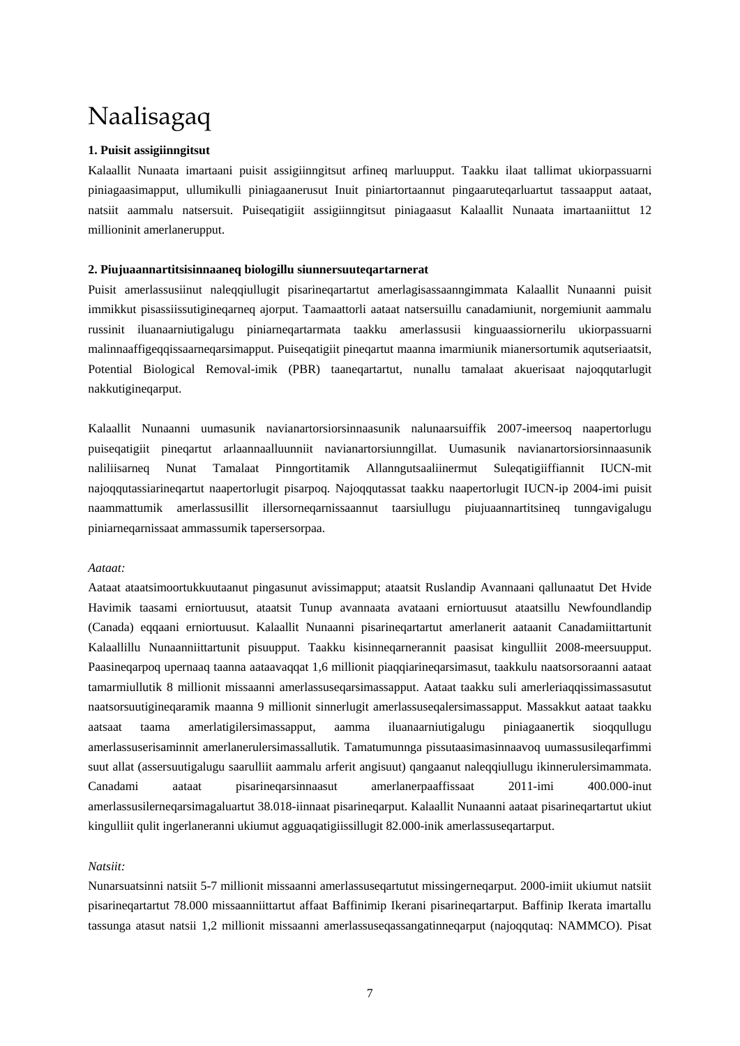## Naalisagaq

### **1. Puisit assigiinngitsut**

Kalaallit Nunaata imartaani puisit assigiinngitsut arfineq marluupput. Taakku ilaat tallimat ukiorpassuarni piniagaasimapput, ullumikulli piniagaanerusut Inuit piniartortaannut pingaaruteqarluartut tassaapput aataat, natsiit aammalu natsersuit. Puiseqatigiit assigiinngitsut piniagaasut Kalaallit Nunaata imartaaniittut 12 millioninit amerlanerupput.

### **2. Piujuaannartitsisinnaaneq biologillu siunnersuuteqartarnerat**

Puisit amerlassusiinut naleqqiullugit pisarineqartartut amerlagisassaanngimmata Kalaallit Nunaanni puisit immikkut pisassiissutigineqarneq ajorput. Taamaattorli aataat natsersuillu canadamiunit, norgemiunit aammalu russinit iluanaarniutigalugu piniarneqartarmata taakku amerlassusii kinguaassiornerilu ukiorpassuarni malinnaaffigeqqissaarneqarsimapput. Puiseqatigiit pineqartut maanna imarmiunik mianersortumik aqutseriaatsit, Potential Biological Removal-imik (PBR) taaneqartartut, nunallu tamalaat akuerisaat najoqqutarlugit nakkutigineqarput.

Kalaallit Nunaanni uumasunik navianartorsiorsinnaasunik nalunaarsuiffik 2007-imeersoq naapertorlugu puiseqatigiit pineqartut arlaannaalluunniit navianartorsiunngillat. Uumasunik navianartorsiorsinnaasunik naliliisarneq Nunat Tamalaat Pinngortitamik Allanngutsaaliinermut Suleqatigiiffiannit IUCN-mit najoqqutassiarineqartut naapertorlugit pisarpoq. Najoqqutassat taakku naapertorlugit IUCN-ip 2004-imi puisit naammattumik amerlassusillit illersorneqarnissaannut taarsiullugu piujuaannartitsineq tunngavigalugu piniarneqarnissaat ammassumik tapersersorpaa.

### *Aataat:*

Aataat ataatsimoortukkuutaanut pingasunut avissimapput; ataatsit Ruslandip Avannaani qallunaatut Det Hvide Havimik taasami erniortuusut, ataatsit Tunup avannaata avataani erniortuusut ataatsillu Newfoundlandip (Canada) eqqaani erniortuusut. Kalaallit Nunaanni pisarineqartartut amerlanerit aataanit Canadamiittartunit Kalaallillu Nunaanniittartunit pisuupput. Taakku kisinneqarnerannit paasisat kingulliit 2008-meersuupput. Paasineqarpoq upernaaq taanna aataavaqqat 1,6 millionit piaqqiarineqarsimasut, taakkulu naatsorsoraanni aataat tamarmiullutik 8 millionit missaanni amerlassuseqarsimassapput. Aataat taakku suli amerleriaqqissimassasutut naatsorsuutigineqaramik maanna 9 millionit sinnerlugit amerlassuseqalersimassapput. Massakkut aataat taakku aatsaat taama amerlatigilersimassapput, aamma iluanaarniutigalugu piniagaanertik sioqqullugu amerlassuserisaminnit amerlanerulersimassallutik. Tamatumunnga pissutaasimasinnaavoq uumassusileqarfimmi suut allat (assersuutigalugu saarulliit aammalu arferit angisuut) qangaanut naleqqiullugu ikinnerulersimammata. Canadami aataat pisarineqarsinnaasut amerlanerpaaffissaat 2011-imi 400.000-inut amerlassusilerneqarsimagaluartut 38.018-iinnaat pisarineqarput. Kalaallit Nunaanni aataat pisarineqartartut ukiut kingulliit qulit ingerlaneranni ukiumut agguaqatigiissillugit 82.000-inik amerlassuseqartarput.

### *Natsiit:*

Nunarsuatsinni natsiit 5-7 millionit missaanni amerlassuseqartutut missingerneqarput. 2000-imiit ukiumut natsiit pisarineqartartut 78.000 missaanniittartut affaat Baffinimip Ikerani pisarineqartarput. Baffinip Ikerata imartallu tassunga atasut natsii 1,2 millionit missaanni amerlassuseqassangatinneqarput (najoqqutaq: NAMMCO). Pisat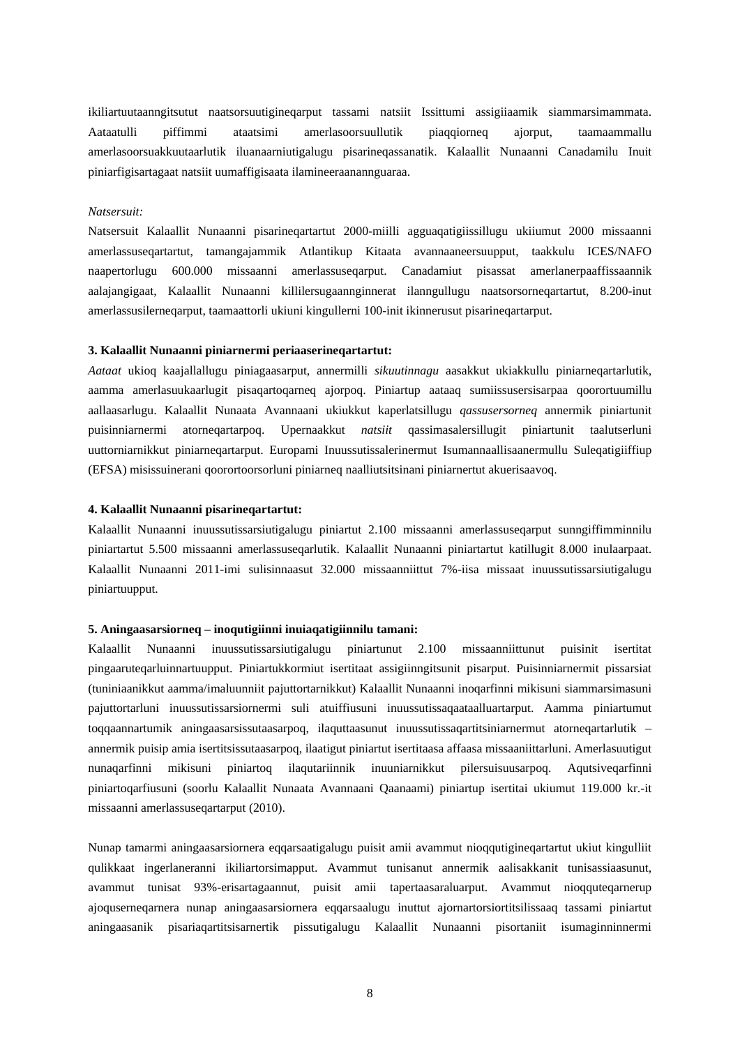ikiliartuutaanngitsutut naatsorsuutigineqarput tassami natsiit Issittumi assigiiaamik siammarsimammata. Aataatulli piffimmi ataatsimi amerlasoorsuullutik piaqqiorneq ajorput, taamaammallu amerlasoorsuakkuutaarlutik iluanaarniutigalugu pisarineqassanatik. Kalaallit Nunaanni Canadamilu Inuit piniarfigisartagaat natsiit uumaffigisaata ilamineeraanannguaraa.

### *Natsersuit:*

Natsersuit Kalaallit Nunaanni pisarineqartartut 2000-miilli agguaqatigiissillugu ukiiumut 2000 missaanni amerlassuseqartartut, tamangajammik Atlantikup Kitaata avannaaneersuupput, taakkulu ICES/NAFO naapertorlugu 600.000 missaanni amerlassuseqarput. Canadamiut pisassat amerlanerpaaffissaannik aalajangigaat, Kalaallit Nunaanni killilersugaannginnerat ilanngullugu naatsorsorneqartartut, 8.200-inut amerlassusilerneqarput, taamaattorli ukiuni kingullerni 100-init ikinnerusut pisarineqartarput.

#### **3. Kalaallit Nunaanni piniarnermi periaaserineqartartut:**

*Aataat* ukioq kaajallallugu piniagaasarput, annermilli *sikuutinnagu* aasakkut ukiakkullu piniarneqartarlutik, aamma amerlasuukaarlugit pisaqartoqarneq ajorpoq. Piniartup aataaq sumiissusersisarpaa qoorortuumillu aallaasarlugu. Kalaallit Nunaata Avannaani ukiukkut kaperlatsillugu *qassusersorneq* annermik piniartunit puisinniarnermi atorneqartarpoq. Upernaakkut *natsiit* qassimasalersillugit piniartunit taalutserluni uuttorniarnikkut piniarneqartarput. Europami Inuussutissalerinermut Isumannaallisaanermullu Suleqatigiiffiup (EFSA) misissuinerani qoorortoorsorluni piniarneq naalliutsitsinani piniarnertut akuerisaavoq.

### **4. Kalaallit Nunaanni pisarineqartartut:**

Kalaallit Nunaanni inuussutissarsiutigalugu piniartut 2.100 missaanni amerlassuseqarput sunngiffimminnilu piniartartut 5.500 missaanni amerlassuseqarlutik. Kalaallit Nunaanni piniartartut katillugit 8.000 inulaarpaat. Kalaallit Nunaanni 2011-imi sulisinnaasut 32.000 missaanniittut 7%-iisa missaat inuussutissarsiutigalugu piniartuupput.

#### **5. Aningaasarsiorneq – inoqutigiinni inuiaqatigiinnilu tamani:**

Kalaallit Nunaanni inuussutissarsiutigalugu piniartunut 2.100 missaanniittunut puisinit isertitat pingaaruteqarluinnartuupput. Piniartukkormiut isertitaat assigiinngitsunit pisarput. Puisinniarnermit pissarsiat (tuniniaanikkut aamma/imaluunniit pajuttortarnikkut) Kalaallit Nunaanni inoqarfinni mikisuni siammarsimasuni pajuttortarluni inuussutissarsiornermi suli atuiffiusuni inuussutissaqaataalluartarput. Aamma piniartumut toqqaannartumik aningaasarsissutaasarpoq, ilaquttaasunut inuussutissaqartitsiniarnermut atorneqartarlutik – annermik puisip amia isertitsissutaasarpoq, ilaatigut piniartut isertitaasa affaasa missaaniittarluni. Amerlasuutigut nunaqarfinni mikisuni piniartoq ilaqutariinnik inuuniarnikkut pilersuisuusarpoq. Aqutsiveqarfinni piniartoqarfiusuni (soorlu Kalaallit Nunaata Avannaani Qaanaami) piniartup isertitai ukiumut 119.000 kr.-it missaanni amerlassuseqartarput (2010).

Nunap tamarmi aningaasarsiornera eqqarsaatigalugu puisit amii avammut nioqqutigineqartartut ukiut kingulliit qulikkaat ingerlaneranni ikiliartorsimapput. Avammut tunisanut annermik aalisakkanit tunisassiaasunut, avammut tunisat 93%-erisartagaannut, puisit amii tapertaasaraluarput. Avammut nioqquteqarnerup ajoquserneqarnera nunap aningaasarsiornera eqqarsaalugu inuttut ajornartorsiortitsilissaaq tassami piniartut aningaasanik pisariaqartitsisarnertik pissutigalugu Kalaallit Nunaanni pisortaniit isumaginninnermi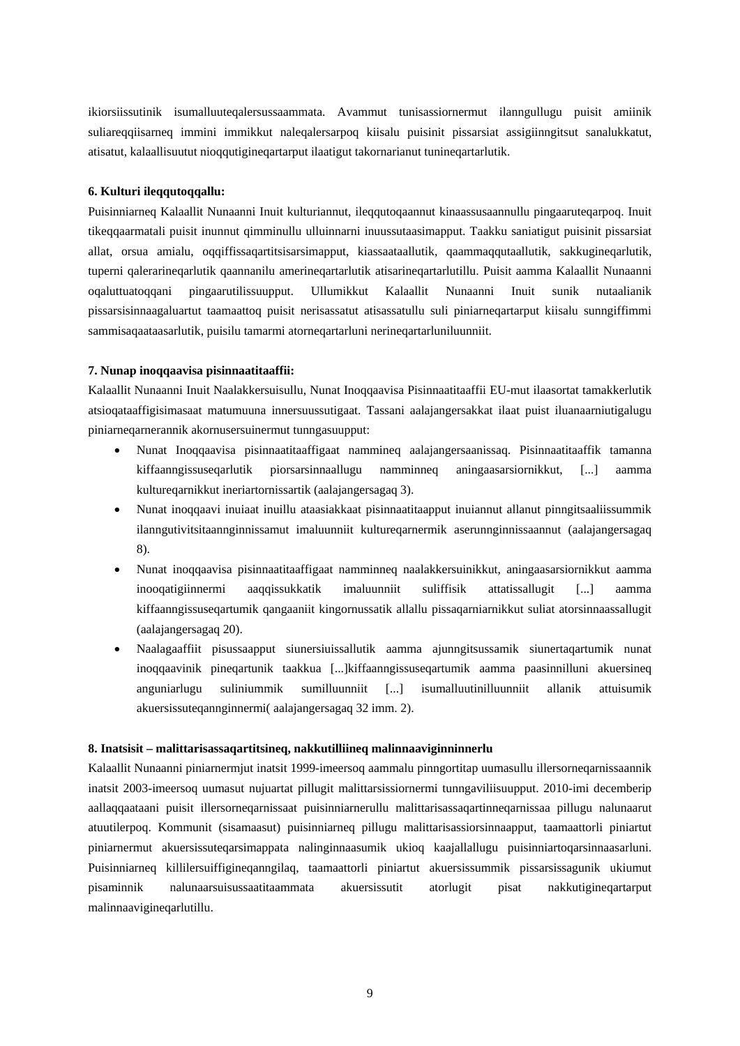ikiorsiissutinik isumalluuteqalersussaammata. Avammut tunisassiornermut ilanngullugu puisit amiinik suliareqqiisarneq immini immikkut naleqalersarpoq kiisalu puisinit pissarsiat assigiinngitsut sanalukkatut, atisatut, kalaallisuutut nioqqutigineqartarput ilaatigut takornarianut tunineqartarlutik.

### **6. Kulturi ileqqutoqqallu:**

Puisinniarneq Kalaallit Nunaanni Inuit kulturiannut, ileqqutoqaannut kinaassusaannullu pingaaruteqarpoq. Inuit tikeqqaarmatali puisit inunnut qimminullu ulluinnarni inuussutaasimapput. Taakku saniatigut puisinit pissarsiat allat, orsua amialu, oqqiffissaqartitsisarsimapput, kiassaataallutik, qaammaqqutaallutik, sakkugineqarlutik, tuperni qalerarineqarlutik qaannanilu amerineqartarlutik atisarineqartarlutillu. Puisit aamma Kalaallit Nunaanni oqaluttuatoqqani pingaarutilissuupput. Ullumikkut Kalaallit Nunaanni Inuit sunik nutaalianik pissarsisinnaagaluartut taamaattoq puisit nerisassatut atisassatullu suli piniarneqartarput kiisalu sunngiffimmi sammisaqaataasarlutik, puisilu tamarmi atorneqartarluni nerineqartarluniluunniit.

#### **7. Nunap inoqqaavisa pisinnaatitaaffii:**

Kalaallit Nunaanni Inuit Naalakkersuisullu, Nunat Inoqqaavisa Pisinnaatitaaffii EU-mut ilaasortat tamakkerlutik atsioqataaffigisimasaat matumuuna innersuussutigaat. Tassani aalajangersakkat ilaat puist iluanaarniutigalugu piniarneqarnerannik akornusersuinermut tunngasuupput:

- Nunat Inoqqaavisa pisinnaatitaaffigaat nammineq aalajangersaanissaq. Pisinnaatitaaffik tamanna kiffaanngissuseqarlutik piorsarsinnaallugu namminneq aningaasarsiornikkut, [...] aamma kultureqarnikkut ineriartornissartik (aalajangersagaq 3).
- Nunat inoqqaavi inuiaat inuillu ataasiakkaat pisinnaatitaapput inuiannut allanut pinngitsaaliissummik ilanngutivitsitaannginnissamut imaluunniit kultureqarnermik aserunnginnissaannut (aalajangersagaq 8).
- Nunat inoqqaavisa pisinnaatitaaffigaat namminneq naalakkersuinikkut, aningaasarsiornikkut aamma inooqatigiinnermi aaqqissukkatik imaluunniit suliffisik attatissallugit [...] aamma kiffaanngissuseqartumik qangaaniit kingornussatik allallu pissaqarniarnikkut suliat atorsinnaassallugit (aalajangersagaq 20).
- Naalagaaffiit pisussaapput siunersiuissallutik aamma ajunngitsussamik siunertaqartumik nunat inoqqaavinik pineqartunik taakkua [...]kiffaanngissuseqartumik aamma paasinnilluni akuersineq anguniarlugu suliniummik sumilluunniit [...] isumalluutinilluunniit allanik attuisumik akuersissuteqannginnermi( aalajangersagaq 32 imm. 2).

### **8. Inatsisit – malittarisassaqartitsineq, nakkutilliineq malinnaaviginninnerlu**

Kalaallit Nunaanni piniarnermjut inatsit 1999-imeersoq aammalu pinngortitap uumasullu illersorneqarnissaannik inatsit 2003-imeersoq uumasut nujuartat pillugit malittarsissiornermi tunngaviliisuupput. 2010-imi decemberip aallaqqaataani puisit illersorneqarnissaat puisinniarnerullu malittarisassaqartinneqarnissaa pillugu nalunaarut atuutilerpoq. Kommunit (sisamaasut) puisinniarneq pillugu malittarisassiorsinnaapput, taamaattorli piniartut piniarnermut akuersissuteqarsimappata nalinginnaasumik ukioq kaajallallugu puisinniartoqarsinnaasarluni. Puisinniarneq killilersuiffigineqanngilaq, taamaattorli piniartut akuersissummik pissarsissagunik ukiumut pisaminnik nalunaarsuisussaatitaammata akuersissutit atorlugit pisat nakkutigineqartarput malinnaavigineqarlutillu.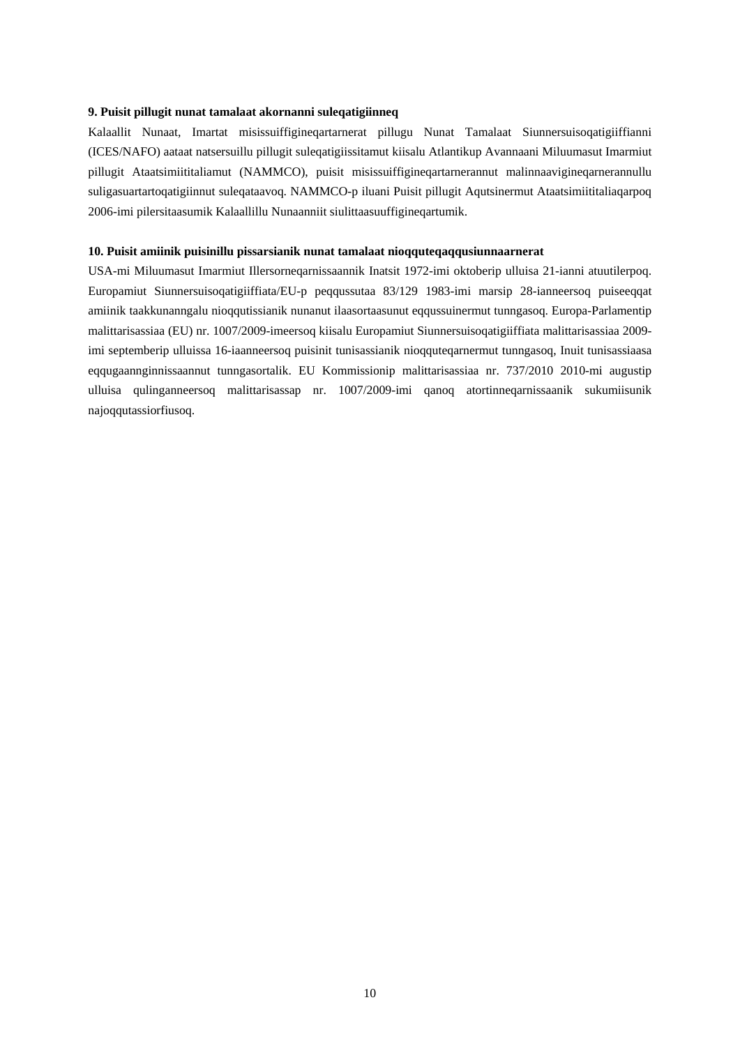### **9. Puisit pillugit nunat tamalaat akornanni suleqatigiinneq**

Kalaallit Nunaat, Imartat misissuiffigineqartarnerat pillugu Nunat Tamalaat Siunnersuisoqatigiiffianni (ICES/NAFO) aataat natsersuillu pillugit suleqatigiissitamut kiisalu Atlantikup Avannaani Miluumasut Imarmiut pillugit Ataatsimiititaliamut (NAMMCO), puisit misissuiffigineqartarnerannut malinnaavigineqarnerannullu suligasuartartoqatigiinnut suleqataavoq. NAMMCO-p iluani Puisit pillugit Aqutsinermut Ataatsimiititaliaqarpoq 2006-imi pilersitaasumik Kalaallillu Nunaanniit siulittaasuuffigineqartumik.

### **10. Puisit amiinik puisinillu pissarsianik nunat tamalaat nioqquteqaqqusiunnaarnerat**

USA-mi Miluumasut Imarmiut Illersorneqarnissaannik Inatsit 1972-imi oktoberip ulluisa 21-ianni atuutilerpoq. Europamiut Siunnersuisoqatigiiffiata/EU-p peqqussutaa 83/129 1983-imi marsip 28-ianneersoq puiseeqqat amiinik taakkunanngalu nioqqutissianik nunanut ilaasortaasunut eqqussuinermut tunngasoq. Europa-Parlamentip malittarisassiaa (EU) nr. 1007/2009-imeersoq kiisalu Europamiut Siunnersuisoqatigiiffiata malittarisassiaa 2009 imi septemberip ulluissa 16-iaanneersoq puisinit tunisassianik nioqquteqarnermut tunngasoq, Inuit tunisassiaasa eqqugaannginnissaannut tunngasortalik. EU Kommissionip malittarisassiaa nr. 737/2010 2010-mi augustip ulluisa qulinganneersoq malittarisassap nr. 1007/2009-imi qanoq atortinneqarnissaanik sukumiisunik najoqqutassiorfiusoq.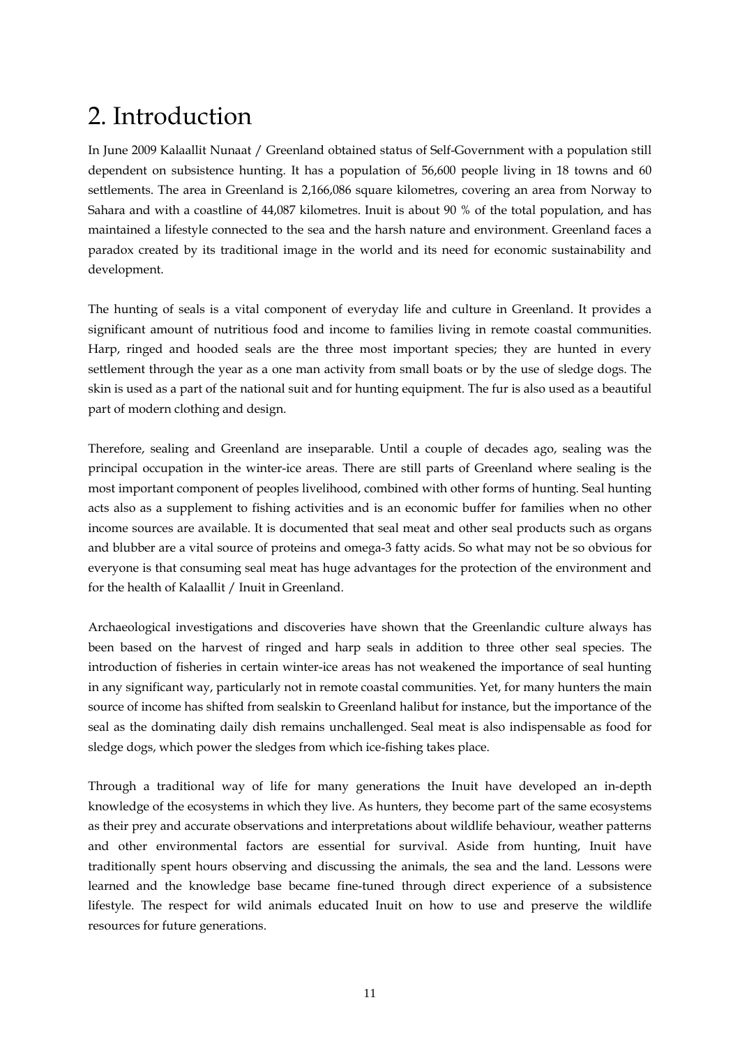## 2. Introduction

In June 2009 Kalaallit Nunaat / Greenland obtained status of Self-Government with a population still dependent on subsistence hunting. It has a population of 56,600 people living in 18 towns and 60 settlements. The area in Greenland is 2,166,086 square kilometres, covering an area from Norway to Sahara and with a coastline of 44,087 kilometres. Inuit is about 90 % of the total population, and has maintained a lifestyle connected to the sea and the harsh nature and environment. Greenland faces a paradox created by its traditional image in the world and its need for economic sustainability and development.

The hunting of seals is a vital component of everyday life and culture in Greenland. It provides a significant amount of nutritious food and income to families living in remote coastal communities. Harp, ringed and hooded seals are the three most important species; they are hunted in every settlement through the year as a one man activity from small boats or by the use of sledge dogs. The skin is used as a part of the national suit and for hunting equipment. The fur is also used as a beautiful part of modern clothing and design.

Therefore, sealing and Greenland are inseparable. Until a couple of decades ago, sealing was the principal occupation in the winter-ice areas. There are still parts of Greenland where sealing is the most important component of peoples livelihood, combined with other forms of hunting. Seal hunting acts also as a supplement to fishing activities and is an economic buffer for families when no other income sources are available. It is documented that seal meat and other seal products such as organs and blubber are a vital source of proteins and omega-3 fatty acids. So what may not be so obvious for everyone is that consuming seal meat has huge advantages for the protection of the environment and for the health of Kalaallit / Inuit in Greenland.

Archaeological investigations and discoveries have shown that the Greenlandic culture always has been based on the harvest of ringed and harp seals in addition to three other seal species. The introduction of fisheries in certain winter-ice areas has not weakened the importance of seal hunting in any significant way, particularly not in remote coastal communities. Yet, for many hunters the main source of income has shifted from sealskin to Greenland halibut for instance, but the importance of the seal as the dominating daily dish remains unchallenged. Seal meat is also indispensable as food for sledge dogs, which power the sledges from which ice-fishing takes place.

Through a traditional way of life for many generations the Inuit have developed an in-depth knowledge of the ecosystems in which they live. As hunters, they become part of the same ecosystems as their prey and accurate observations and interpretations about wildlife behaviour, weather patterns and other environmental factors are essential for survival. Aside from hunting, Inuit have traditionally spent hours observing and discussing the animals, the sea and the land. Lessons were learned and the knowledge base became fine-tuned through direct experience of a subsistence lifestyle. The respect for wild animals educated Inuit on how to use and preserve the wildlife resources for future generations.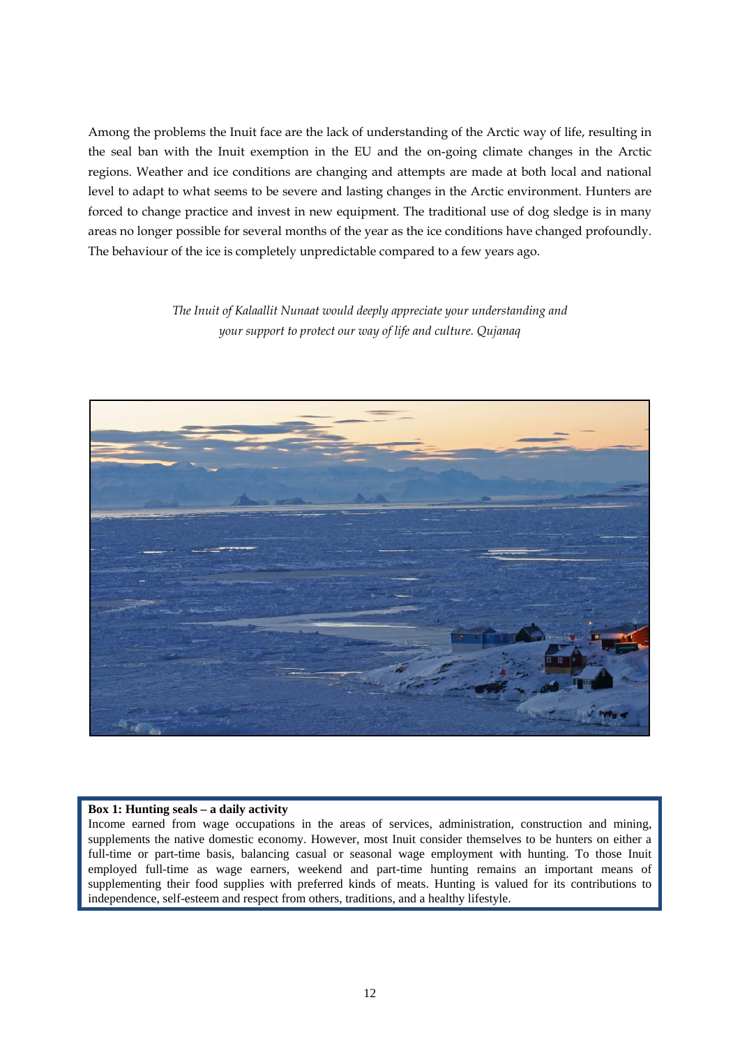Among the problems the Inuit face are the lack of understanding of the Arctic way of life, resulting in the seal ban with the Inuit exemption in the EU and the on-going climate changes in the Arctic regions. Weather and ice conditions are changing and attempts are made at both local and national level to adapt to what seems to be severe and lasting changes in the Arctic environment. Hunters are forced to change practice and invest in new equipment. The traditional use of dog sledge is in many areas no longer possible for several months of the year as the ice conditions have changed profoundly. The behaviour of the ice is completely unpredictable compared to a few years ago.

> *The Inuit of Kalaallit Nunaat would deeply appreciate your understanding and your support to protect our way of life and culture. Qujanaq*



### **Box 1: Hunting seals – a daily activity**

Income earned from wage occupations in the areas of services, administration, construction and mining, supplements the native domestic economy. However, most Inuit consider themselves to be hunters on either a full-time or part-time basis, balancing casual or seasonal wage employment with hunting. To those Inuit employed full-time as wage earners, weekend and part-time hunting remains an important means of supplementing their food supplies with preferred kinds of meats. Hunting is valued for its contributions to independence, self-esteem and respect from others, traditions, and a healthy lifestyle.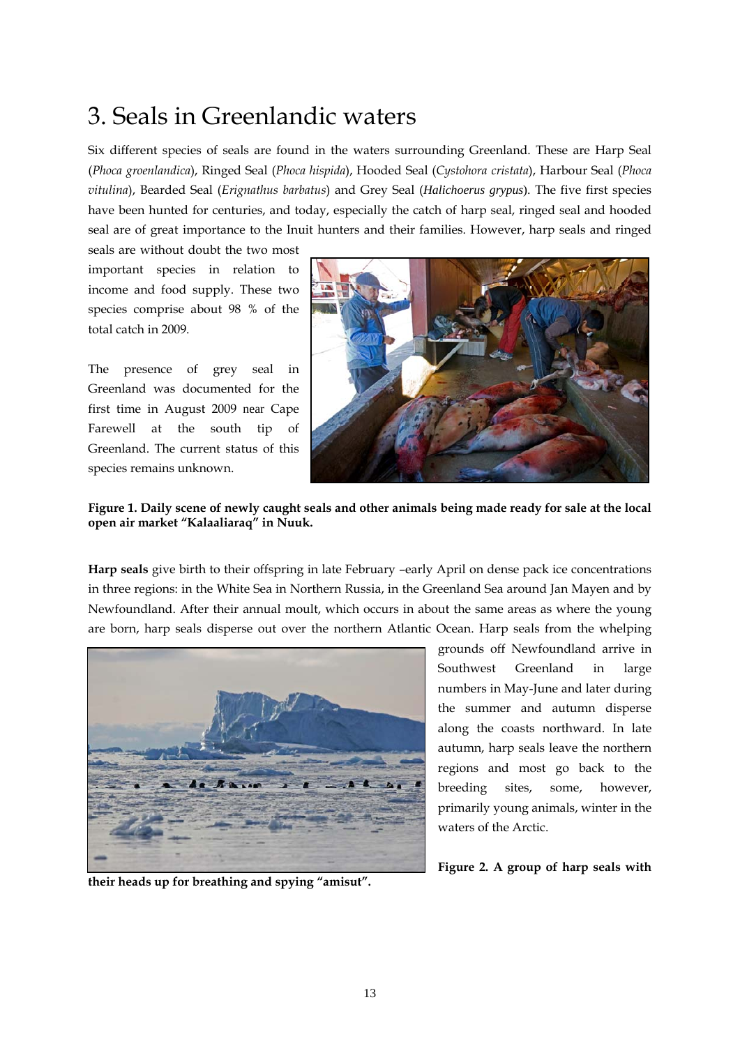### 3. Seals in Greenlandic waters

Six different species of seals are found in the waters surrounding Greenland. These are Harp Seal (*Phoca groenlandica*), Ringed Seal (*Phoca hispida*), Hooded Seal (*Cystohora cristata*), Harbour Seal (*Phoca vitulina*), Bearded Seal (*Erignathus barbatus*) and Grey Seal (*Halichoerus grypus*). The five first species have been hunted for centuries, and today, especially the catch of harp seal, ringed seal and hooded seal are of great importance to the Inuit hunters and their families. However, harp seals and ringed

seals are without doubt the two most important species in relation to income and food supply. These two species comprise about 98 % of the total catch in 2009.

The presence of grey seal in Greenland was documented for the first time in August 2009 near Cape Farewell at the south tip of Greenland. The current status of this species remains unknown.



### **Figure 1. Daily scene of newly caught seals and other animals being made ready for sale at the local open air market "Kalaaliaraq" in Nuuk.**

**Harp seals** give birth to their offspring in late February –early April on dense pack ice concentrations in three regions: in the White Sea in Northern Russia, in the Greenland Sea around Jan Mayen and by Newfoundland. After their annual moult, which occurs in about the same areas as where the young are born, harp seals disperse out over the northern Atlantic Ocean. Harp seals from the whelping



**their heads up for breathing and spying "amisut".** 

grounds off Newfoundland arrive in Southwest Greenland in large numbers in May-June and later during the summer and autumn disperse along the coasts northward. In late autumn, harp seals leave the northern regions and most go back to the breeding sites, some, however, primarily young animals, winter in the waters of the Arctic.

**Figure 2. A group of harp seals with**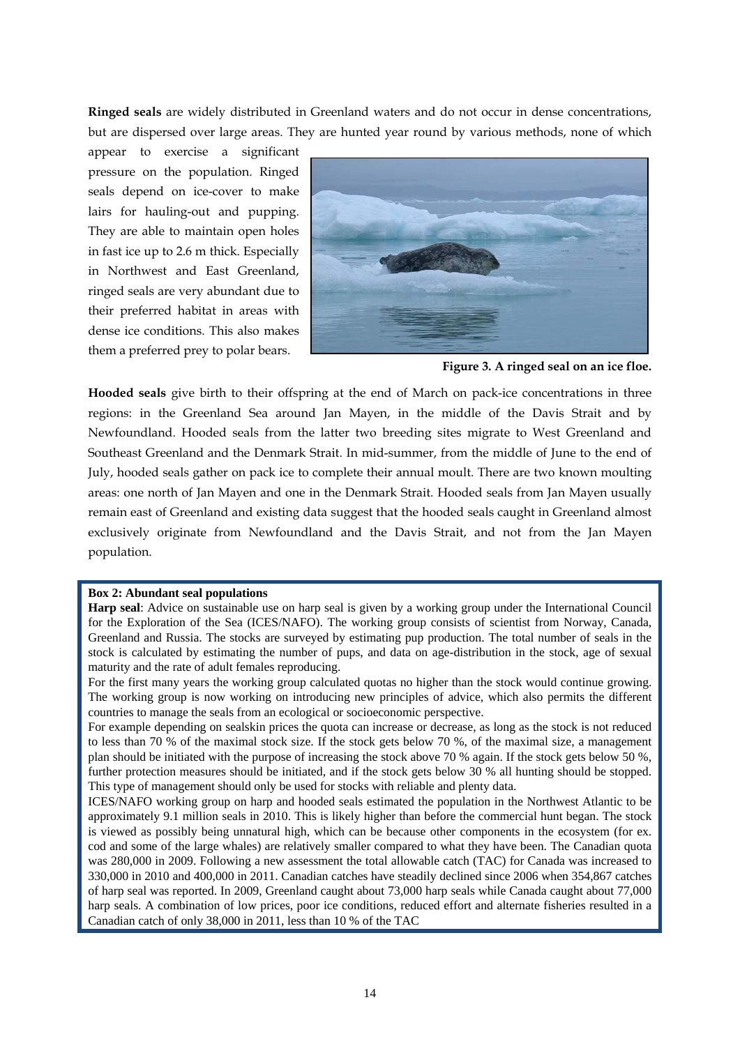**Ringed seals** are widely distributed in Greenland waters and do not occur in dense concentrations, but are dispersed over large areas. They are hunted year round by various methods, none of which

appear to exercise a significant pressure on the population. Ringed seals depend on ice-cover to make lairs for hauling-out and pupping. They are able to maintain open holes in fast ice up to 2.6 m thick. Especially in Northwest and East Greenland, ringed seals are very abundant due to their preferred habitat in areas with dense ice conditions. This also makes them a preferred prey to polar bears.



**Figure 3. A ringed seal on an ice floe.** 

**Hooded seals** give birth to their offspring at the end of March on pack-ice concentrations in three regions: in the Greenland Sea around Jan Mayen, in the middle of the Davis Strait and by Newfoundland. Hooded seals from the latter two breeding sites migrate to West Greenland and Southeast Greenland and the Denmark Strait. In mid-summer, from the middle of June to the end of July, hooded seals gather on pack ice to complete their annual moult. There are two known moulting areas: one north of Jan Mayen and one in the Denmark Strait. Hooded seals from Jan Mayen usually remain east of Greenland and existing data suggest that the hooded seals caught in Greenland almost exclusively originate from Newfoundland and the Davis Strait, and not from the Jan Mayen population.

#### **Box 2: Abundant seal populations**

For the first many years the working group calculated quotas no higher than the stock would continue growing. The working group is now working on introducing new principles of advice, which also permits the different countries to manage the seals from an ecological or socioeconomic perspective.

For example depending on sealskin prices the quota can increase or decrease, as long as the stock is not reduced to less than 70 % of the maximal stock size. If the stock gets below 70 %, of the maximal size, a management plan should be initiated with the purpose of increasing the stock above 70 % again. If the stock gets below 50 %, further protection measures should be initiated, and if the stock gets below 30 % all hunting should be stopped. This type of management should only be used for stocks with reliable and plenty data.

ICES/NAFO working group on harp and hooded seals estimated the population in the Northwest Atlantic to be approximately 9.1 million seals in 2010. This is likely higher than before the commercial hunt began. The stock is viewed as possibly being unnatural high, which can be because other components in the ecosystem (for ex. cod and some of the large whales) are relatively smaller compared to what they have been. The Canadian quota was 280,000 in 2009. Following a new assessment the total allowable catch (TAC) for Canada was increased to 330,000 in 2010 and 400,000 in 2011. Canadian catches have steadily declined since 2006 when 354,867 catches of harp seal was reported. In 2009, Greenland caught about 73,000 harp seals while Canada caught about 77,000 harp seals. A combination of low prices, poor ice conditions, reduced effort and alternate fisheries resulted in a Canadian catch of only 38,000 in 2011, less than 10 % of the TAC

**Harp seal**: Advice on sustainable use on harp seal is given by a working group under the International Council for the Exploration of the Sea (ICES/NAFO). The working group consists of scientist from Norway, Canada, Greenland and Russia. The stocks are surveyed by estimating pup production. The total number of seals in the stock is calculated by estimating the number of pups, and data on age-distribution in the stock, age of sexual maturity and the rate of adult females reproducing.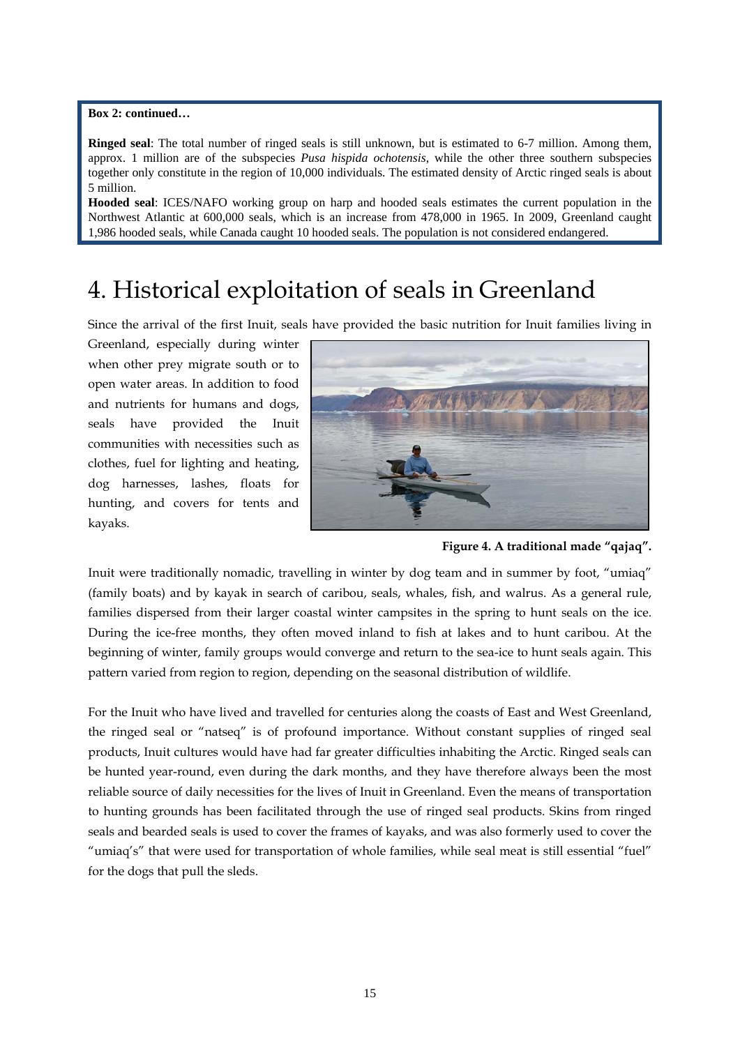### **Box 2: continued…**

**Ringed seal**: The total number of ringed seals is still unknown, but is estimated to 6-7 million. Among them, approx. 1 million are of the subspecies *Pusa hispida ochotensis*, while the other three southern subspecies together only constitute in the region of 10,000 individuals. The estimated density of Arctic ringed seals is about 5 million.

**Hooded seal**: ICES/NAFO working group on harp and hooded seals estimates the current population in the Northwest Atlantic at 600,000 seals, which is an increase from 478,000 in 1965. In 2009, Greenland caught 1,986 hooded seals, while Canada caught 10 hooded seals. The population is not considered endangered.

## 4. Historical exploitation of seals in Greenland

Since the arrival of the first Inuit, seals have provided the basic nutrition for Inuit families living in

Greenland, especially during winter when other prey migrate south or to open water areas. In addition to food and nutrients for humans and dogs, seals have provided the Inuit communities with necessities such as clothes, fuel for lighting and heating, dog harnesses, lashes, floats for hunting, and covers for tents and kayaks.



**Figure 4. A traditional made "qajaq".** 

Inuit were traditionally nomadic, travelling in winter by dog team and in summer by foot, "umiaq" (family boats) and by kayak in search of caribou, seals, whales, fish, and walrus. As a general rule, families dispersed from their larger coastal winter campsites in the spring to hunt seals on the ice. During the ice-free months, they often moved inland to fish at lakes and to hunt caribou. At the beginning of winter, family groups would converge and return to the sea-ice to hunt seals again. This pattern varied from region to region, depending on the seasonal distribution of wildlife.

For the Inuit who have lived and travelled for centuries along the coasts of East and West Greenland, the ringed seal or "natseq" is of profound importance. Without constant supplies of ringed seal products, Inuit cultures would have had far greater difficulties inhabiting the Arctic. Ringed seals can be hunted year-round, even during the dark months, and they have therefore always been the most reliable source of daily necessities for the lives of Inuit in Greenland. Even the means of transportation to hunting grounds has been facilitated through the use of ringed seal products. Skins from ringed seals and bearded seals is used to cover the frames of kayaks, and was also formerly used to cover the "umiaq's" that were used for transportation of whole families, while seal meat is still essential "fuel" for the dogs that pull the sleds.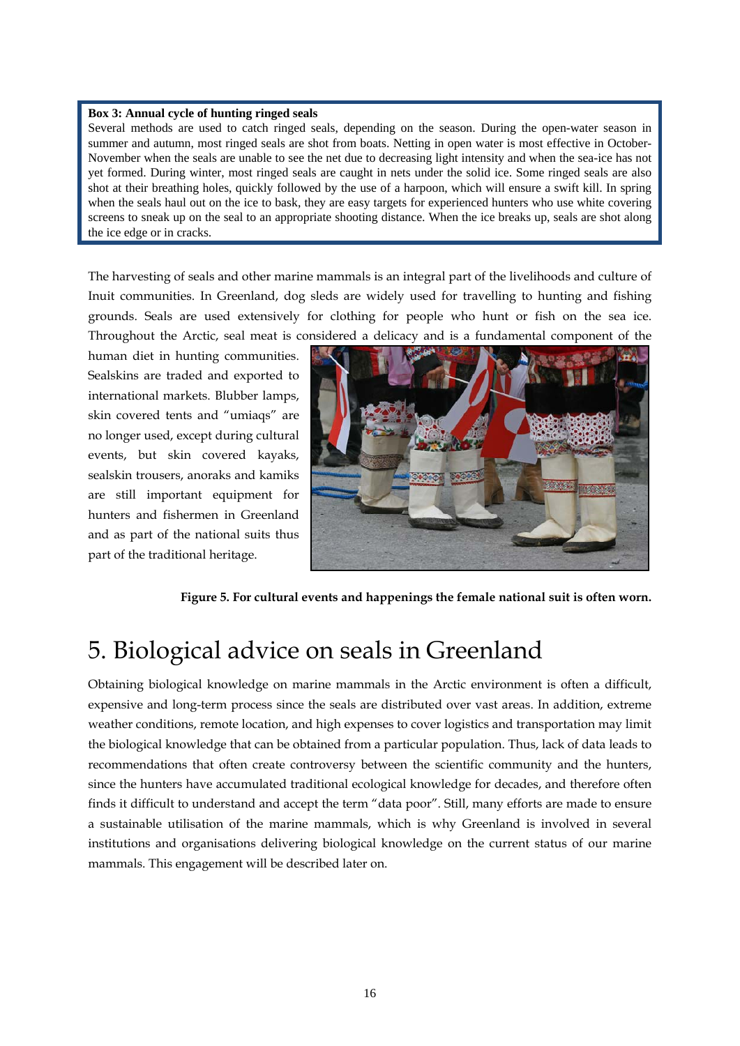#### **Box 3: Annual cycle of hunting ringed seals**

Several methods are used to catch ringed seals, depending on the season. During the open-water season in summer and autumn, most ringed seals are shot from boats. Netting in open water is most effective in October-November when the seals are unable to see the net due to decreasing light intensity and when the sea-ice has not yet formed. During winter, most ringed seals are caught in nets under the solid ice. Some ringed seals are also shot at their breathing holes, quickly followed by the use of a harpoon, which will ensure a swift kill. In spring when the seals haul out on the ice to bask, they are easy targets for experienced hunters who use white covering screens to sneak up on the seal to an appropriate shooting distance. When the ice breaks up, seals are shot along the ice edge or in cracks.

The harvesting of seals and other marine mammals is an integral part of the livelihoods and culture of Inuit communities. In Greenland, dog sleds are widely used for travelling to hunting and fishing grounds. Seals are used extensively for clothing for people who hunt or fish on the sea ice. Throughout the Arctic, seal meat is considered a delicacy and is a fundamental component of the

human diet in hunting communities. Sealskins are traded and exported to international markets. Blubber lamps, skin covered tents and "umiaqs" are no longer used, except during cultural events, but skin covered kayaks, sealskin trousers, anoraks and kamiks are still important equipment for hunters and fishermen in Greenland and as part of the national suits thus part of the traditional heritage.



**Figure 5. For cultural events and happenings the female national suit is often worn.** 

## 5. Biological advice on seals in Greenland

Obtaining biological knowledge on marine mammals in the Arctic environment is often a difficult, expensive and long-term process since the seals are distributed over vast areas. In addition, extreme weather conditions, remote location, and high expenses to cover logistics and transportation may limit the biological knowledge that can be obtained from a particular population. Thus, lack of data leads to recommendations that often create controversy between the scientific community and the hunters, since the hunters have accumulated traditional ecological knowledge for decades, and therefore often finds it difficult to understand and accept the term "data poor". Still, many efforts are made to ensure a sustainable utilisation of the marine mammals, which is why Greenland is involved in several institutions and organisations delivering biological knowledge on the current status of our marine mammals. This engagement will be described later on.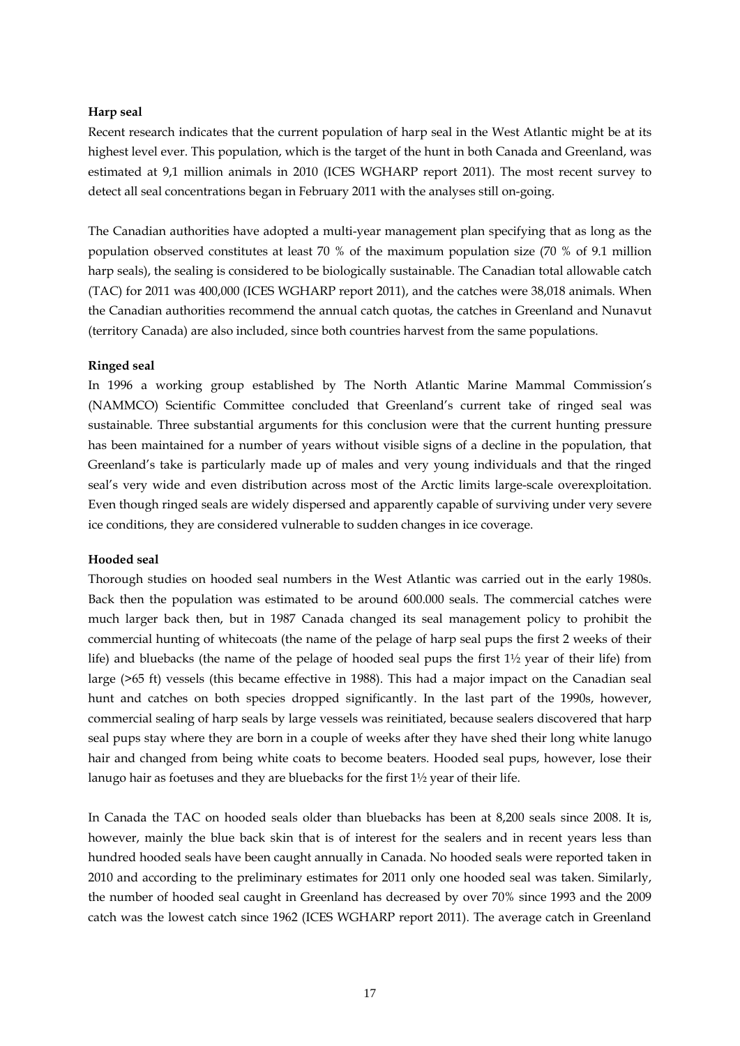### **Harp seal**

Recent research indicates that the current population of harp seal in the West Atlantic might be at its highest level ever. This population, which is the target of the hunt in both Canada and Greenland, was estimated at 9,1 million animals in 2010 (ICES WGHARP report 2011). The most recent survey to detect all seal concentrations began in February 2011 with the analyses still on-going.

The Canadian authorities have adopted a multi-year management plan specifying that as long as the population observed constitutes at least 70 % of the maximum population size (70 % of 9.1 million harp seals), the sealing is considered to be biologically sustainable. The Canadian total allowable catch (TAC) for 2011 was 400,000 (ICES WGHARP report 2011), and the catches were 38,018 animals. When the Canadian authorities recommend the annual catch quotas, the catches in Greenland and Nunavut (territory Canada) are also included, since both countries harvest from the same populations.

### **Ringed seal**

In 1996 a working group established by The North Atlantic Marine Mammal Commission's (NAMMCO) Scientific Committee concluded that Greenland's current take of ringed seal was sustainable. Three substantial arguments for this conclusion were that the current hunting pressure has been maintained for a number of years without visible signs of a decline in the population, that Greenland's take is particularly made up of males and very young individuals and that the ringed seal's very wide and even distribution across most of the Arctic limits large-scale overexploitation. Even though ringed seals are widely dispersed and apparently capable of surviving under very severe ice conditions, they are considered vulnerable to sudden changes in ice coverage.

#### **Hooded seal**

Thorough studies on hooded seal numbers in the West Atlantic was carried out in the early 1980s. Back then the population was estimated to be around 600.000 seals. The commercial catches were much larger back then, but in 1987 Canada changed its seal management policy to prohibit the commercial hunting of whitecoats (the name of the pelage of harp seal pups the first 2 weeks of their life) and bluebacks (the name of the pelage of hooded seal pups the first  $1\frac{1}{2}$  year of their life) from large (>65 ft) vessels (this became effective in 1988). This had a major impact on the Canadian seal hunt and catches on both species dropped significantly. In the last part of the 1990s, however, commercial sealing of harp seals by large vessels was reinitiated, because sealers discovered that harp seal pups stay where they are born in a couple of weeks after they have shed their long white lanugo hair and changed from being white coats to become beaters. Hooded seal pups, however, lose their lanugo hair as foetuses and they are bluebacks for the first 1½ year of their life.

In Canada the TAC on hooded seals older than bluebacks has been at 8,200 seals since 2008. It is, however, mainly the blue back skin that is of interest for the sealers and in recent years less than hundred hooded seals have been caught annually in Canada. No hooded seals were reported taken in 2010 and according to the preliminary estimates for 2011 only one hooded seal was taken. Similarly, the number of hooded seal caught in Greenland has decreased by over 70% since 1993 and the 2009 catch was the lowest catch since 1962 (ICES WGHARP report 2011). The average catch in Greenland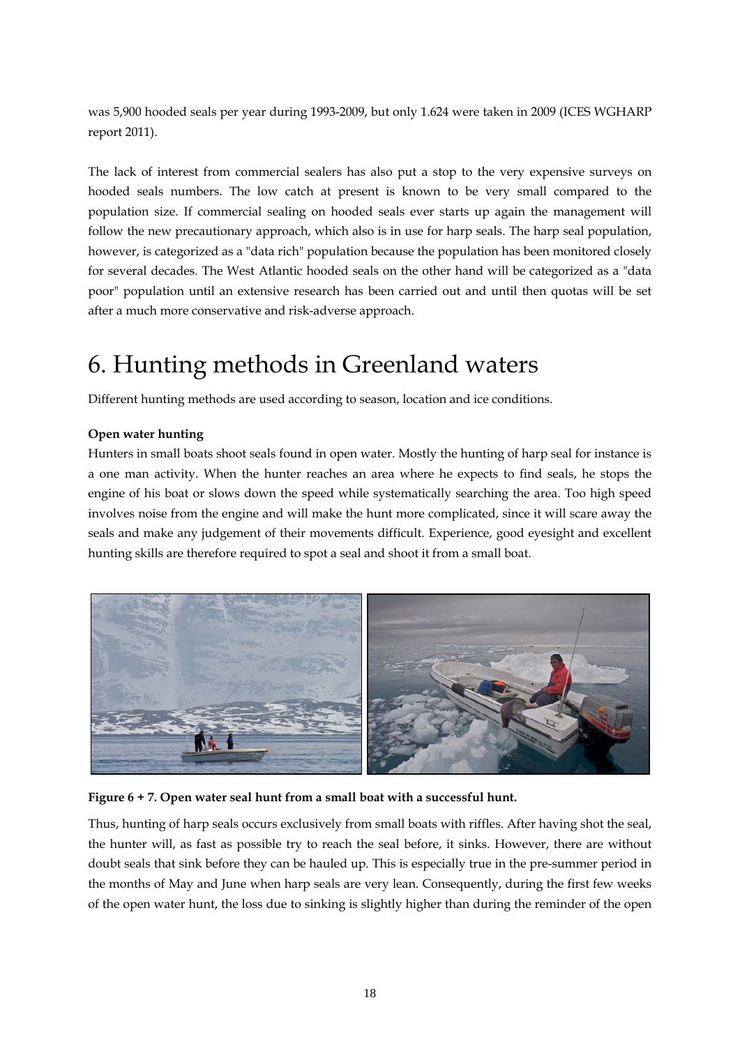was 5,900 hooded seals per year during 1993-2009, but only 1.624 were taken in 2009 (ICES WGHARP report 2011).

The lack of interest from commercial sealers has also put a stop to the very expensive surveys on hooded seals numbers. The low catch at present is known to be very small compared to the population size. If commercial sealing on hooded seals ever starts up again the management will follow the new precautionary approach, which also is in use for harp seals. The harp seal population, however, is categorized as a "data rich" population because the population has been monitored closely for several decades. The West Atlantic hooded seals on the other hand will be categorized as a "data poor" population until an extensive research has been carried out and until then quotas will be set after a much more conservative and risk-adverse approach.

## 6. Hunting methods in Greenland waters

Different hunting methods are used according to season, location and ice conditions.

### **Open water hunting**

Hunters in small boats shoot seals found in open water. Mostly the hunting of harp seal for instance is a one man activity. When the hunter reaches an area where he expects to find seals, he stops the engine of his boat or slows down the speed while systematically searching the area. Too high speed involves noise from the engine and will make the hunt more complicated, since it will scare away the seals and make any judgement of their movements difficult. Experience, good eyesight and excellent hunting skills are therefore required to spot a seal and shoot it from a small boat.



**Figure 6 + 7. Open water seal hunt from a small boat with a successful hunt.** 

Thus, hunting of harp seals occurs exclusively from small boats with riffles. After having shot the seal, the hunter will, as fast as possible try to reach the seal before, it sinks. However, there are without doubt seals that sink before they can be hauled up. This is especially true in the pre-summer period in the months of May and June when harp seals are very lean. Consequently, during the first few weeks of the open water hunt, the loss due to sinking is slightly higher than during the reminder of the open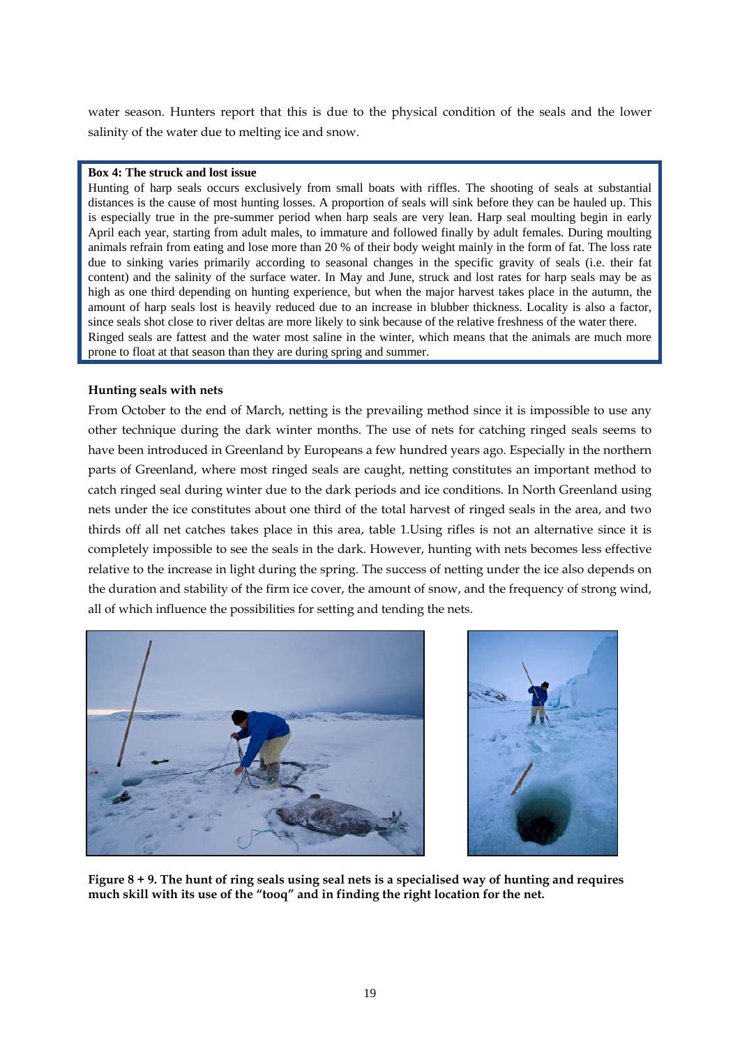water season. Hunters report that this is due to the physical condition of the seals and the lower salinity of the water due to melting ice and snow.

### **Box 4: The struck and lost issue**

Hunting of harp seals occurs exclusively from small boats with riffles. The shooting of seals at substantial distances is the cause of most hunting losses. A proportion of seals will sink before they can be hauled up. This is especially true in the pre-summer period when harp seals are very lean. Harp seal moulting begin in early April each year, starting from adult males, to immature and followed finally by adult females. During moulting animals refrain from eating and lose more than 20 % of their body weight mainly in the form of fat. The loss rate due to sinking varies primarily according to seasonal changes in the specific gravity of seals (i.e. their fat content) and the salinity of the surface water. In May and June, struck and lost rates for harp seals may be as high as one third depending on hunting experience, but when the major harvest takes place in the autumn, the amount of harp seals lost is heavily reduced due to an increase in blubber thickness. Locality is also a factor, since seals shot close to river deltas are more likely to sink because of the relative freshness of the water there. Ringed seals are fattest and the water most saline in the winter, which means that the animals are much more prone to float at that season than they are during spring and summer.

### **Hunting seals with nets**

From October to the end of March, netting is the prevailing method since it is impossible to use any other technique during the dark winter months. The use of nets for catching ringed seals seems to have been introduced in Greenland by Europeans a few hundred years ago. Especially in the northern parts of Greenland, where most ringed seals are caught, netting constitutes an important method to catch ringed seal during winter due to the dark periods and ice conditions. In North Greenland using nets under the ice constitutes about one third of the total harvest of ringed seals in the area, and two thirds off all net catches takes place in this area, table 1.Using rifles is not an alternative since it is completely impossible to see the seals in the dark. However, hunting with nets becomes less effective relative to the increase in light during the spring. The success of netting under the ice also depends on the duration and stability of the firm ice cover, the amount of snow, and the frequency of strong wind, all of which influence the possibilities for setting and tending the nets.





**Figure 8 + 9. The hunt of ring seals using seal nets is a specialised way of hunting and requires much skill with its use of the "tooq" and in finding the right location for the net.**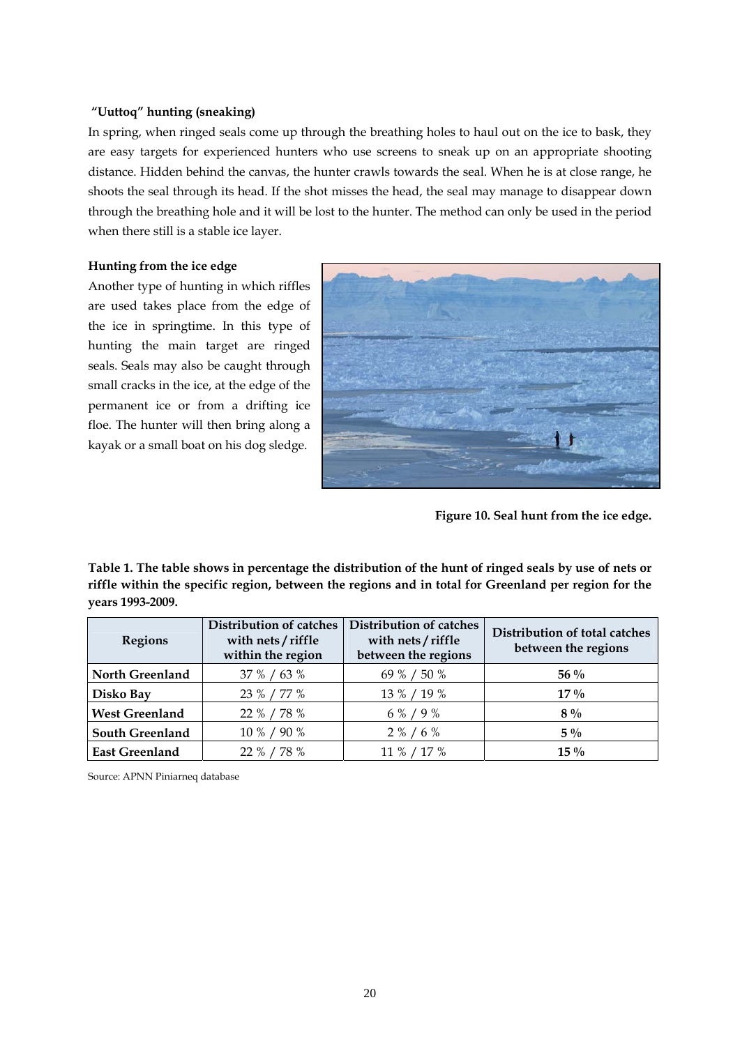### **"Uuttoq" hunting (sneaking)**

In spring, when ringed seals come up through the breathing holes to haul out on the ice to bask, they are easy targets for experienced hunters who use screens to sneak up on an appropriate shooting distance. Hidden behind the canvas, the hunter crawls towards the seal. When he is at close range, he shoots the seal through its head. If the shot misses the head, the seal may manage to disappear down through the breathing hole and it will be lost to the hunter. The method can only be used in the period when there still is a stable ice layer.

### **Hunting from the ice edge**

Another type of hunting in which riffles are used takes place from the edge of the ice in springtime. In this type of hunting the main target are ringed seals. Seals may also be caught through small cracks in the ice, at the edge of the permanent ice or from a drifting ice floe. The hunter will then bring along a kayak or a small boat on his dog sledge.



**Figure 10. Seal hunt from the ice edge.** 

**Table 1. The table shows in percentage the distribution of the hunt of ringed seals by use of nets or riffle within the specific region, between the regions and in total for Greenland per region for the years 1993-2009.**

| <b>Regions</b>         | <b>Distribution of catches</b><br>with nets / riffle<br>within the region | Distribution of catches<br>with nets / riffle<br>between the regions | Distribution of total catches<br>between the regions |
|------------------------|---------------------------------------------------------------------------|----------------------------------------------------------------------|------------------------------------------------------|
| <b>North Greenland</b> | 37 % / 63 %                                                               | 69 % / 50 %                                                          | $56\%$                                               |
| Disko Bay              | 23 % / 77 %                                                               | 13 % / 19 %                                                          | $17\%$                                               |
| <b>West Greenland</b>  | 22 % / 78 %                                                               | 6 % / 9 %                                                            | $8\%$                                                |
| <b>South Greenland</b> | 10 % / 90 %                                                               | $2\% / 6\%$                                                          | $5\%$                                                |
| <b>East Greenland</b>  | 22 % / 78 %                                                               | 11 % / 17 %                                                          | $15\%$                                               |

Source: APNN Piniarneq database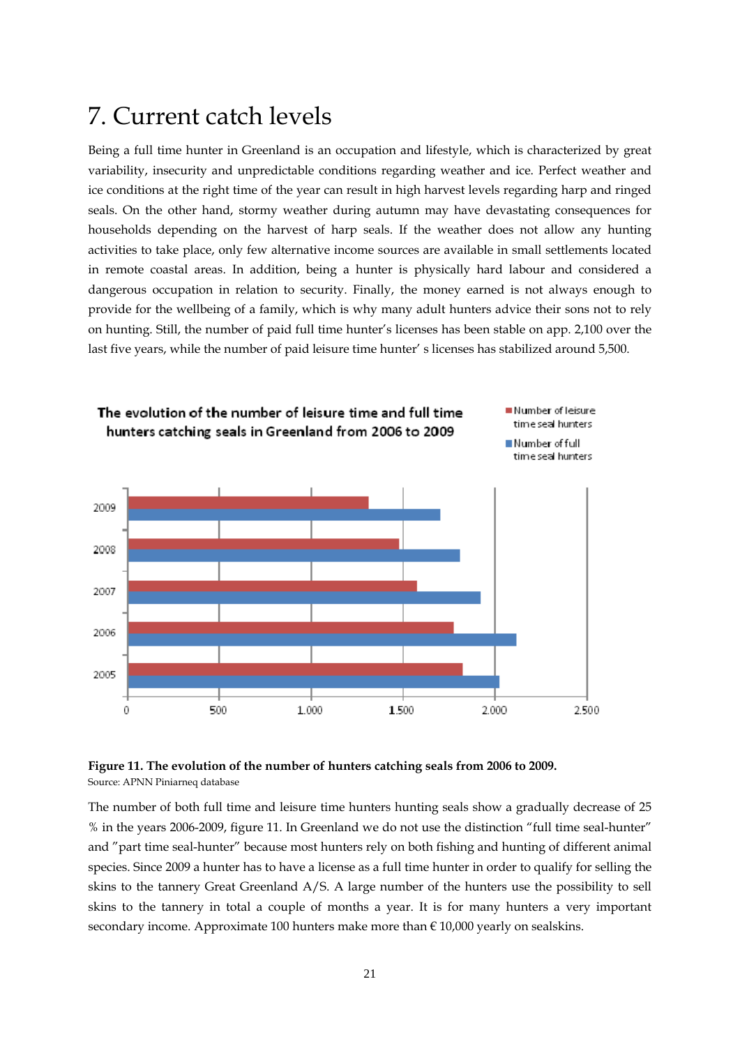## 7. Current catch levels

Being a full time hunter in Greenland is an occupation and lifestyle, which is characterized by great variability, insecurity and unpredictable conditions regarding weather and ice. Perfect weather and ice conditions at the right time of the year can result in high harvest levels regarding harp and ringed seals. On the other hand, stormy weather during autumn may have devastating consequences for households depending on the harvest of harp seals. If the weather does not allow any hunting activities to take place, only few alternative income sources are available in small settlements located in remote coastal areas. In addition, being a hunter is physically hard labour and considered a dangerous occupation in relation to security. Finally, the money earned is not always enough to provide for the wellbeing of a family, which is why many adult hunters advice their sons not to rely on hunting. Still, the number of paid full time hunter's licenses has been stable on app. 2,100 over the last five years, while the number of paid leisure time hunter' s licenses has stabilized around 5,500.



### **Figure 11. The evolution of the number of hunters catching seals from 2006 to 2009.**  Source: APNN Piniarneq database

The number of both full time and leisure time hunters hunting seals show a gradually decrease of 25 % in the years 2006-2009, figure 11. In Greenland we do not use the distinction "full time seal-hunter" and "part time seal-hunter" because most hunters rely on both fishing and hunting of different animal species. Since 2009 a hunter has to have a license as a full time hunter in order to qualify for selling the skins to the tannery Great Greenland A/S. A large number of the hunters use the possibility to sell skins to the tannery in total a couple of months a year. It is for many hunters a very important secondary income. Approximate 100 hunters make more than  $\epsilon$  10,000 yearly on sealskins.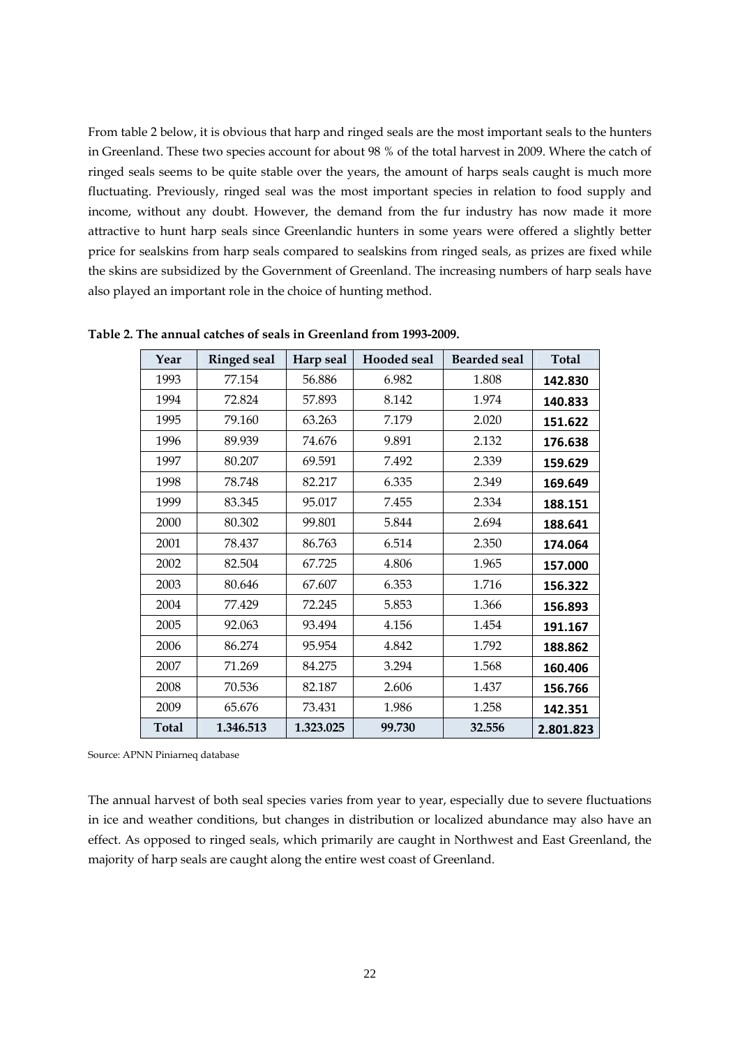From table 2 below, it is obvious that harp and ringed seals are the most important seals to the hunters in Greenland. These two species account for about 98 % of the total harvest in 2009. Where the catch of ringed seals seems to be quite stable over the years, the amount of harps seals caught is much more fluctuating. Previously, ringed seal was the most important species in relation to food supply and income, without any doubt. However, the demand from the fur industry has now made it more attractive to hunt harp seals since Greenlandic hunters in some years were offered a slightly better price for sealskins from harp seals compared to sealskins from ringed seals, as prizes are fixed while the skins are subsidized by the Government of Greenland. The increasing numbers of harp seals have also played an important role in the choice of hunting method.

| Year         | <b>Ringed seal</b> | Harp seal | <b>Hooded</b> seal | <b>Bearded seal</b> | <b>Total</b> |
|--------------|--------------------|-----------|--------------------|---------------------|--------------|
| 1993         | 77.154             | 56.886    | 6.982              | 1.808               | 142.830      |
| 1994         | 72.824             | 57.893    | 8.142              | 1.974               | 140.833      |
| 1995         | 79.160             | 63.263    | 7.179              | 2.020               | 151.622      |
| 1996         | 89.939             | 74.676    | 9.891              | 2.132               | 176.638      |
| 1997         | 80.207             | 69.591    | 7.492              | 2.339               | 159.629      |
| 1998         | 78.748             | 82.217    | 6.335              | 2.349               | 169.649      |
| 1999         | 83.345             | 95.017    | 7.455              | 2.334               | 188.151      |
| 2000         | 80.302             | 99.801    | 5.844              | 2.694               | 188.641      |
| 2001         | 78.437             | 86.763    | 6.514              | 2.350               | 174.064      |
| 2002         | 82.504             | 67.725    | 4.806              | 1.965               | 157.000      |
| 2003         | 80.646             | 67.607    | 6.353              | 1.716               | 156.322      |
| 2004         | 77.429             | 72.245    | 5.853              | 1.366               | 156.893      |
| 2005         | 92.063             | 93.494    | 4.156              | 1.454               | 191.167      |
| 2006         | 86.274             | 95.954    | 4.842              | 1.792               | 188.862      |
| 2007         | 71.269             | 84.275    | 3.294              | 1.568               | 160.406      |
| 2008         | 70.536             | 82.187    | 2.606              | 1.437               | 156.766      |
| 2009         | 65.676             | 73.431    | 1.986              | 1.258               | 142.351      |
| <b>Total</b> | 1.346.513          | 1.323.025 | 99.730             | 32.556              | 2.801.823    |

**Table 2. The annual catches of seals in Greenland from 1993-2009.** 

Source: APNN Piniarneq database

The annual harvest of both seal species varies from year to year, especially due to severe fluctuations in ice and weather conditions, but changes in distribution or localized abundance may also have an effect. As opposed to ringed seals, which primarily are caught in Northwest and East Greenland, the majority of harp seals are caught along the entire west coast of Greenland.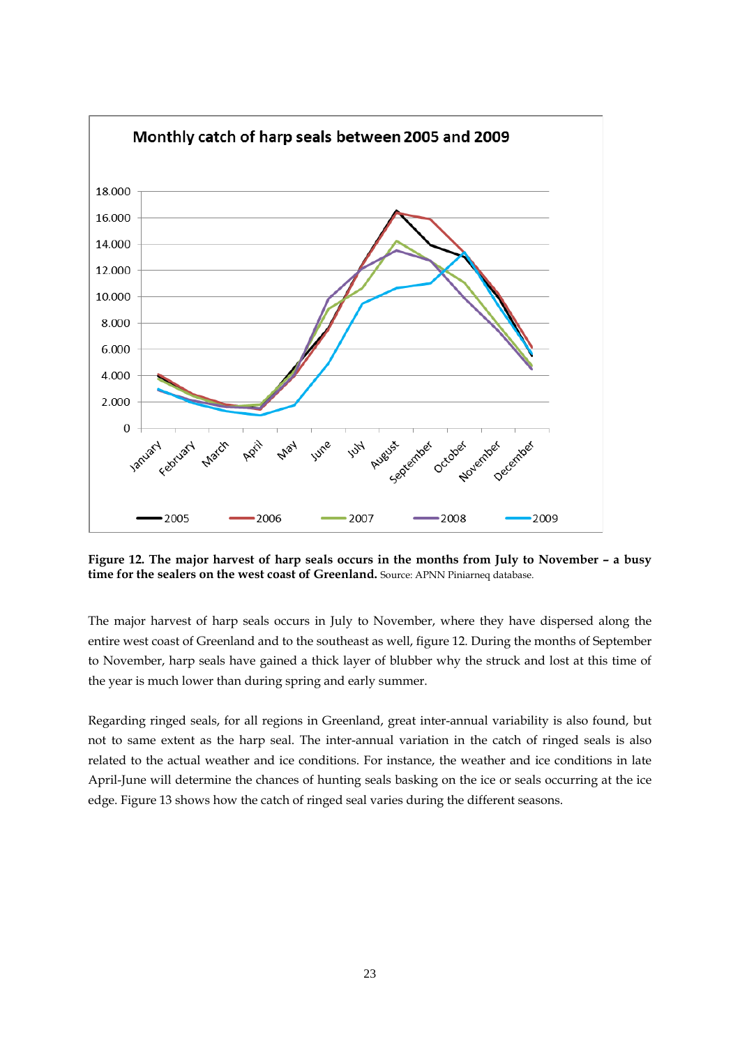

**Figure 12. The major harvest of harp seals occurs in the months from July to November – a busy time for the sealers on the west coast of Greenland.** Source: APNN Piniarneq database.

The major harvest of harp seals occurs in July to November, where they have dispersed along the entire west coast of Greenland and to the southeast as well, figure 12. During the months of September to November, harp seals have gained a thick layer of blubber why the struck and lost at this time of the year is much lower than during spring and early summer.

Regarding ringed seals, for all regions in Greenland, great inter-annual variability is also found, but not to same extent as the harp seal. The inter-annual variation in the catch of ringed seals is also related to the actual weather and ice conditions. For instance, the weather and ice conditions in late April-June will determine the chances of hunting seals basking on the ice or seals occurring at the ice edge. Figure 13 shows how the catch of ringed seal varies during the different seasons.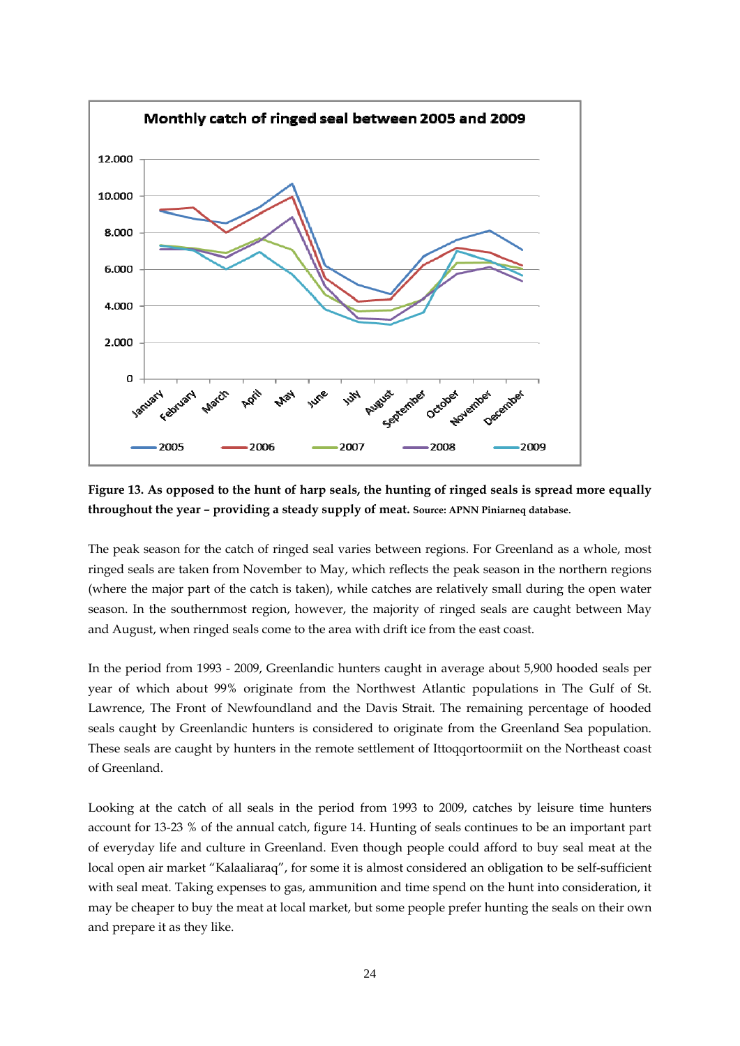

**Figure 13. As opposed to the hunt of harp seals, the hunting of ringed seals is spread more equally throughout the year – providing a steady supply of meat. Source: APNN Piniarneq database.**

The peak season for the catch of ringed seal varies between regions. For Greenland as a whole, most ringed seals are taken from November to May, which reflects the peak season in the northern regions (where the major part of the catch is taken), while catches are relatively small during the open water season. In the southernmost region, however, the majority of ringed seals are caught between May and August, when ringed seals come to the area with drift ice from the east coast.

In the period from 1993 - 2009, Greenlandic hunters caught in average about 5,900 hooded seals per year of which about 99% originate from the Northwest Atlantic populations in The Gulf of St. Lawrence, The Front of Newfoundland and the Davis Strait. The remaining percentage of hooded seals caught by Greenlandic hunters is considered to originate from the Greenland Sea population. These seals are caught by hunters in the remote settlement of Ittoqqortoormiit on the Northeast coast of Greenland.

Looking at the catch of all seals in the period from 1993 to 2009, catches by leisure time hunters account for 13-23 % of the annual catch, figure 14. Hunting of seals continues to be an important part of everyday life and culture in Greenland. Even though people could afford to buy seal meat at the local open air market "Kalaaliaraq", for some it is almost considered an obligation to be self-sufficient with seal meat. Taking expenses to gas, ammunition and time spend on the hunt into consideration, it may be cheaper to buy the meat at local market, but some people prefer hunting the seals on their own and prepare it as they like.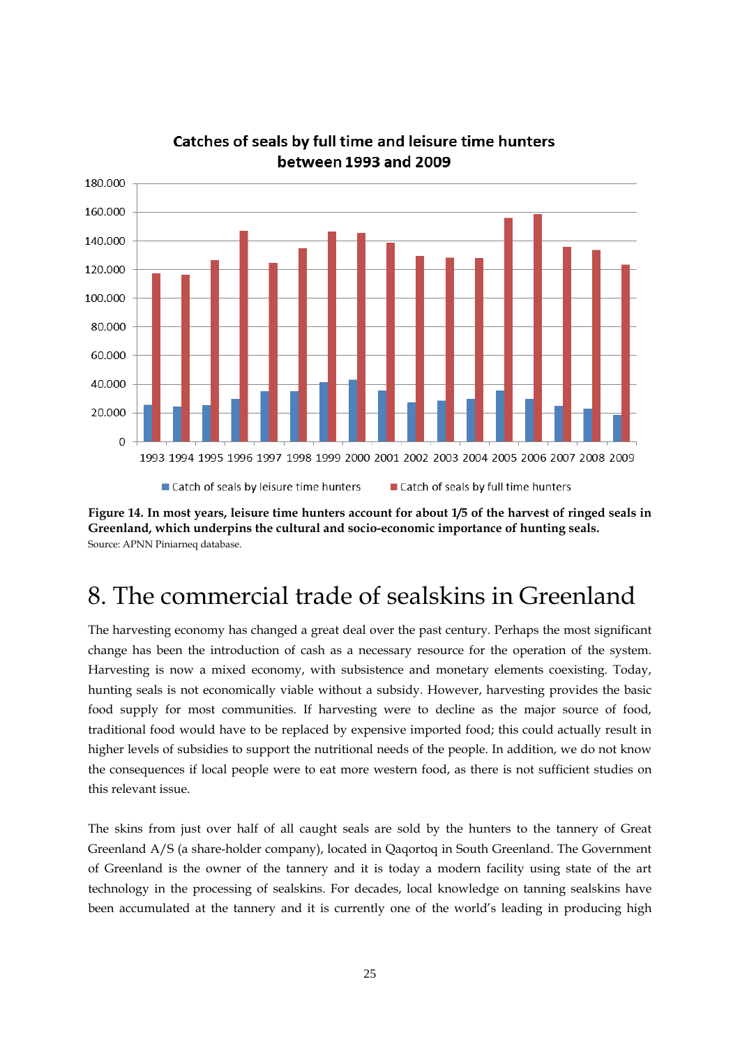

### Catches of seals by full time and leisure time hunters between 1993 and 2009

**Figure 14. In most years, leisure time hunters account for about 1/5 of the harvest of ringed seals in Greenland, which underpins the cultural and socio-economic importance of hunting seals.**  Source: APNN Piniarneq database.

## 8. The commercial trade of sealskins in Greenland

The harvesting economy has changed a great deal over the past century. Perhaps the most significant change has been the introduction of cash as a necessary resource for the operation of the system. Harvesting is now a mixed economy, with subsistence and monetary elements coexisting. Today, hunting seals is not economically viable without a subsidy. However, harvesting provides the basic food supply for most communities. If harvesting were to decline as the major source of food, traditional food would have to be replaced by expensive imported food; this could actually result in higher levels of subsidies to support the nutritional needs of the people. In addition, we do not know the consequences if local people were to eat more western food, as there is not sufficient studies on this relevant issue.

The skins from just over half of all caught seals are sold by the hunters to the tannery of Great Greenland A/S (a share-holder company), located in Qaqortoq in South Greenland. The Government of Greenland is the owner of the tannery and it is today a modern facility using state of the art technology in the processing of sealskins. For decades, local knowledge on tanning sealskins have been accumulated at the tannery and it is currently one of the world's leading in producing high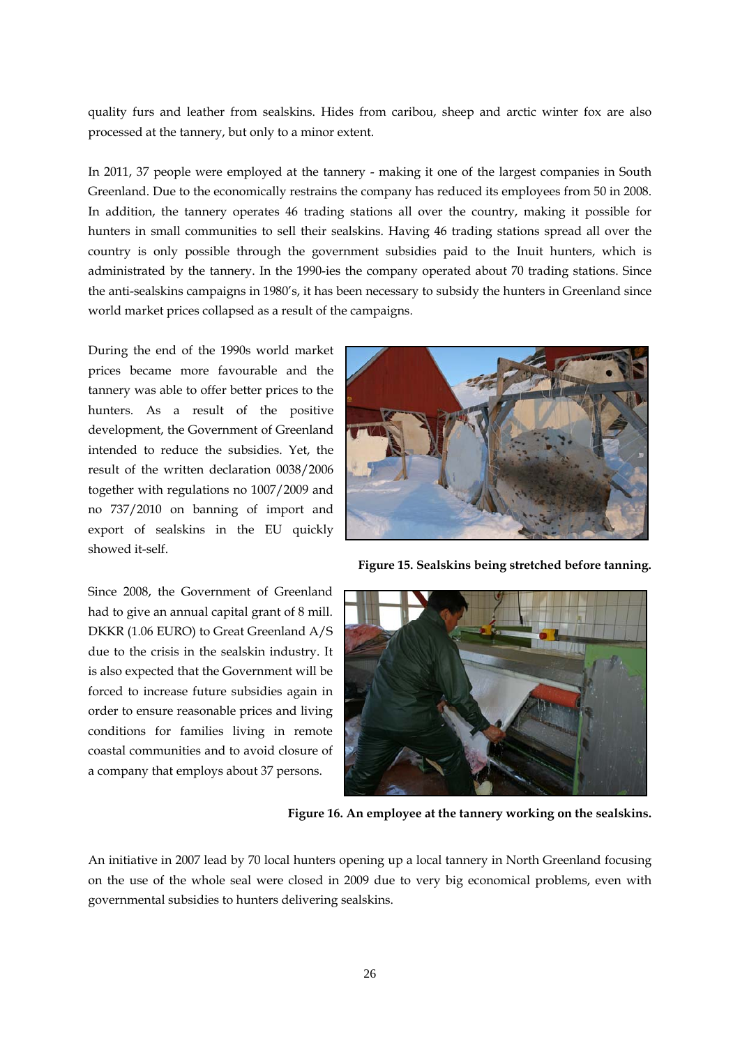quality furs and leather from sealskins. Hides from caribou, sheep and arctic winter fox are also processed at the tannery, but only to a minor extent.

In 2011, 37 people were employed at the tannery - making it one of the largest companies in South Greenland. Due to the economically restrains the company has reduced its employees from 50 in 2008. In addition, the tannery operates 46 trading stations all over the country, making it possible for hunters in small communities to sell their sealskins. Having 46 trading stations spread all over the country is only possible through the government subsidies paid to the Inuit hunters, which is administrated by the tannery. In the 1990-ies the company operated about 70 trading stations. Since the anti-sealskins campaigns in 1980's, it has been necessary to subsidy the hunters in Greenland since world market prices collapsed as a result of the campaigns.

During the end of the 1990s world market prices became more favourable and the tannery was able to offer better prices to the hunters. As a result of the positive development, the Government of Greenland intended to reduce the subsidies. Yet, the result of the written declaration 0038/2006 together with regulations no 1007/2009 and no 737/2010 on banning of import and export of sealskins in the EU quickly showed it-self.



**Figure 15. Sealskins being stretched before tanning.** 

Since 2008, the Government of Greenland had to give an annual capital grant of 8 mill. DKKR (1.06 EURO) to Great Greenland A/S due to the crisis in the sealskin industry. It is also expected that the Government will be forced to increase future subsidies again in order to ensure reasonable prices and living conditions for families living in remote coastal communities and to avoid closure of a company that employs about 37 persons.



**Figure 16. An employee at the tannery working on the sealskins.** 

An initiative in 2007 lead by 70 local hunters opening up a local tannery in North Greenland focusing on the use of the whole seal were closed in 2009 due to very big economical problems, even with governmental subsidies to hunters delivering sealskins.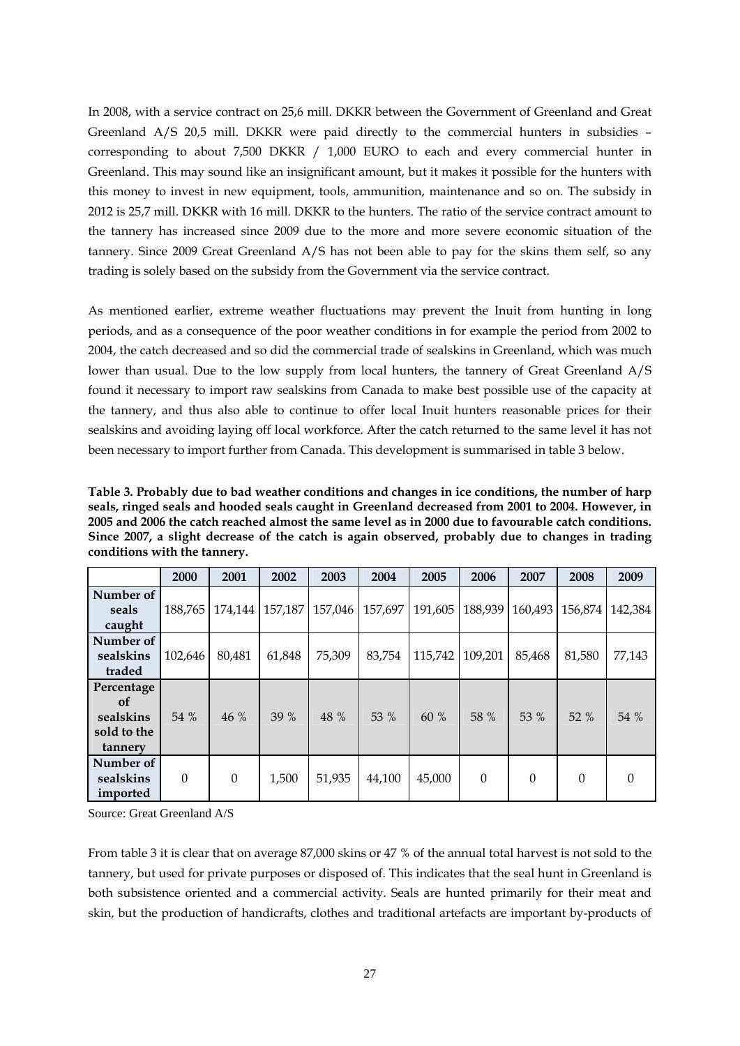In 2008, with a service contract on 25,6 mill. DKKR between the Government of Greenland and Great Greenland A/S 20,5 mill. DKKR were paid directly to the commercial hunters in subsidies – corresponding to about 7,500 DKKR / 1,000 EURO to each and every commercial hunter in Greenland. This may sound like an insignificant amount, but it makes it possible for the hunters with this money to invest in new equipment, tools, ammunition, maintenance and so on. The subsidy in 2012 is 25,7 mill. DKKR with 16 mill. DKKR to the hunters. The ratio of the service contract amount to the tannery has increased since 2009 due to the more and more severe economic situation of the tannery. Since 2009 Great Greenland A/S has not been able to pay for the skins them self, so any trading is solely based on the subsidy from the Government via the service contract.

As mentioned earlier, extreme weather fluctuations may prevent the Inuit from hunting in long periods, and as a consequence of the poor weather conditions in for example the period from 2002 to 2004, the catch decreased and so did the commercial trade of sealskins in Greenland, which was much lower than usual. Due to the low supply from local hunters, the tannery of Great Greenland A/S found it necessary to import raw sealskins from Canada to make best possible use of the capacity at the tannery, and thus also able to continue to offer local Inuit hunters reasonable prices for their sealskins and avoiding laying off local workforce. After the catch returned to the same level it has not been necessary to import further from Canada. This development is summarised in table 3 below.

**Table 3. Probably due to bad weather conditions and changes in ice conditions, the number of harp seals, ringed seals and hooded seals caught in Greenland decreased from 2001 to 2004. However, in 2005 and 2006 the catch reached almost the same level as in 2000 due to favourable catch conditions. Since 2007, a slight decrease of the catch is again observed, probably due to changes in trading conditions with the tannery.** 

|                                                                    | 2000     | 2001     | 2002    | 2003    | 2004    | 2005    | 2006     | 2007     | 2008     | 2009     |
|--------------------------------------------------------------------|----------|----------|---------|---------|---------|---------|----------|----------|----------|----------|
| Number of<br>seals<br>caught                                       | 188,765  | 174,144  | 157,187 | 157,046 | 157,697 | 191,605 | 188,939  | 160,493  | 156,874  | 142,384  |
| Number of<br>sealskins<br>traded                                   | 102,646  | 80,481   | 61,848  | 75,309  | 83,754  | 115,742 | 109,201  | 85,468   | 81,580   | 77,143   |
| Percentage<br><sub>of</sub><br>sealskins<br>sold to the<br>tannery | 54 %     | 46 %     | 39%     | 48 %    | 53 %    | 60%     | 58 %     | 53 %     | 52%      | 54 %     |
| Number of<br>sealskins<br>imported                                 | $\Omega$ | $\Omega$ | 1,500   | 51,935  | 44,100  | 45,000  | $\theta$ | $\Omega$ | $\Omega$ | $\theta$ |

Source: Great Greenland A/S

From table 3 it is clear that on average 87,000 skins or 47 % of the annual total harvest is not sold to the tannery, but used for private purposes or disposed of. This indicates that the seal hunt in Greenland is both subsistence oriented and a commercial activity. Seals are hunted primarily for their meat and skin, but the production of handicrafts, clothes and traditional artefacts are important by-products of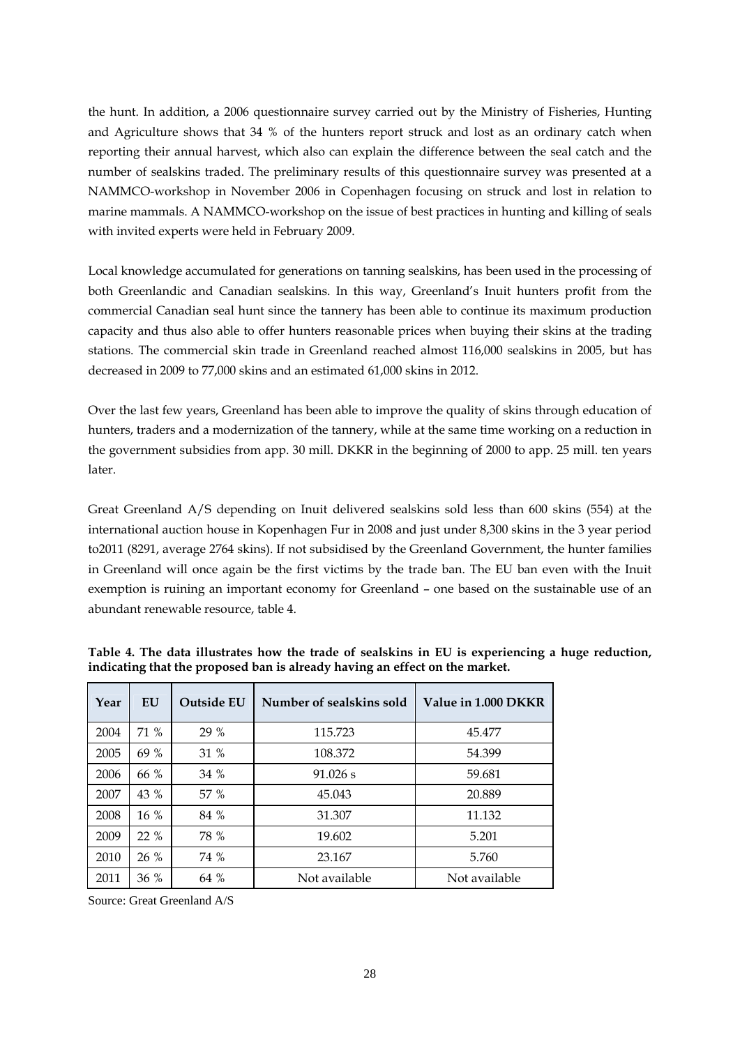the hunt. In addition, a 2006 questionnaire survey carried out by the Ministry of Fisheries, Hunting and Agriculture shows that 34 % of the hunters report struck and lost as an ordinary catch when reporting their annual harvest, which also can explain the difference between the seal catch and the number of sealskins traded. The preliminary results of this questionnaire survey was presented at a NAMMCO-workshop in November 2006 in Copenhagen focusing on struck and lost in relation to marine mammals. A NAMMCO-workshop on the issue of best practices in hunting and killing of seals with invited experts were held in February 2009.

Local knowledge accumulated for generations on tanning sealskins, has been used in the processing of both Greenlandic and Canadian sealskins. In this way, Greenland's Inuit hunters profit from the commercial Canadian seal hunt since the tannery has been able to continue its maximum production capacity and thus also able to offer hunters reasonable prices when buying their skins at the trading stations. The commercial skin trade in Greenland reached almost 116,000 sealskins in 2005, but has decreased in 2009 to 77,000 skins and an estimated 61,000 skins in 2012.

Over the last few years, Greenland has been able to improve the quality of skins through education of hunters, traders and a modernization of the tannery, while at the same time working on a reduction in the government subsidies from app. 30 mill. DKKR in the beginning of 2000 to app. 25 mill. ten years later.

Great Greenland A/S depending on Inuit delivered sealskins sold less than 600 skins (554) at the international auction house in Kopenhagen Fur in 2008 and just under 8,300 skins in the 3 year period to2011 (8291, average 2764 skins). If not subsidised by the Greenland Government, the hunter families in Greenland will once again be the first victims by the trade ban. The EU ban even with the Inuit exemption is ruining an important economy for Greenland – one based on the sustainable use of an abundant renewable resource, table 4.

| Year | EU   | <b>Outside EU</b> | Number of sealskins sold | Value in 1.000 DKKR |
|------|------|-------------------|--------------------------|---------------------|
| 2004 | 71 % | 29 %              | 115.723                  | 45.477              |
| 2005 | 69 % | 31 %              | 108.372                  | 54.399              |
| 2006 | 66 % | 34%               | $91.026$ s               | 59.681              |
| 2007 | 43 % | 57 %              | 45.043                   | 20.889              |
| 2008 | 16 % | 84 %              | 31.307                   | 11.132              |
| 2009 | 22%  | 78 %              | 19.602                   | 5.201               |
| 2010 | 26 % | 74 %              | 23.167                   | 5.760               |
| 2011 | 36 % | 64 %              | Not available            | Not available       |

**Table 4. The data illustrates how the trade of sealskins in EU is experiencing a huge reduction, indicating that the proposed ban is already having an effect on the market.** 

Source: Great Greenland A/S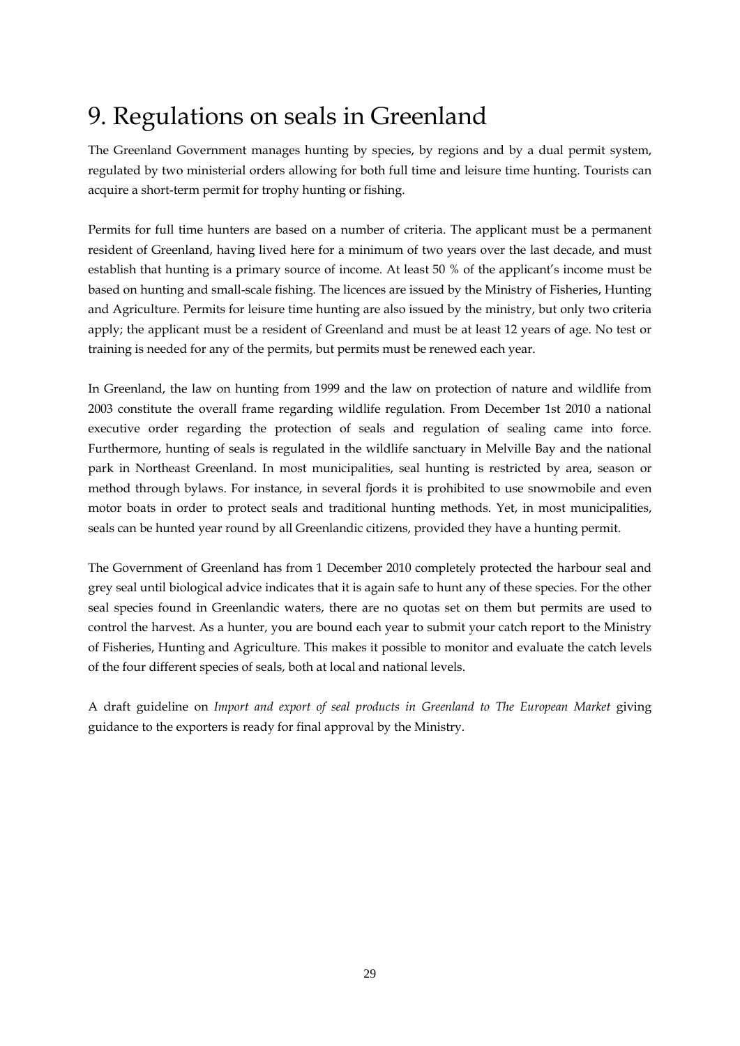## 9. Regulations on seals in Greenland

The Greenland Government manages hunting by species, by regions and by a dual permit system, regulated by two ministerial orders allowing for both full time and leisure time hunting. Tourists can acquire a short-term permit for trophy hunting or fishing.

Permits for full time hunters are based on a number of criteria. The applicant must be a permanent resident of Greenland, having lived here for a minimum of two years over the last decade, and must establish that hunting is a primary source of income. At least 50 % of the applicant's income must be based on hunting and small-scale fishing. The licences are issued by the Ministry of Fisheries, Hunting and Agriculture. Permits for leisure time hunting are also issued by the ministry, but only two criteria apply; the applicant must be a resident of Greenland and must be at least 12 years of age. No test or training is needed for any of the permits, but permits must be renewed each year.

In Greenland, the law on hunting from 1999 and the law on protection of nature and wildlife from 2003 constitute the overall frame regarding wildlife regulation. From December 1st 2010 a national executive order regarding the protection of seals and regulation of sealing came into force. Furthermore, hunting of seals is regulated in the wildlife sanctuary in Melville Bay and the national park in Northeast Greenland. In most municipalities, seal hunting is restricted by area, season or method through bylaws. For instance, in several fjords it is prohibited to use snowmobile and even motor boats in order to protect seals and traditional hunting methods. Yet, in most municipalities, seals can be hunted year round by all Greenlandic citizens, provided they have a hunting permit.

The Government of Greenland has from 1 December 2010 completely protected the harbour seal and grey seal until biological advice indicates that it is again safe to hunt any of these species. For the other seal species found in Greenlandic waters, there are no quotas set on them but permits are used to control the harvest. As a hunter, you are bound each year to submit your catch report to the Ministry of Fisheries, Hunting and Agriculture. This makes it possible to monitor and evaluate the catch levels of the four different species of seals, both at local and national levels.

A draft guideline on *Import and export of seal products in Greenland to The European Market* giving guidance to the exporters is ready for final approval by the Ministry.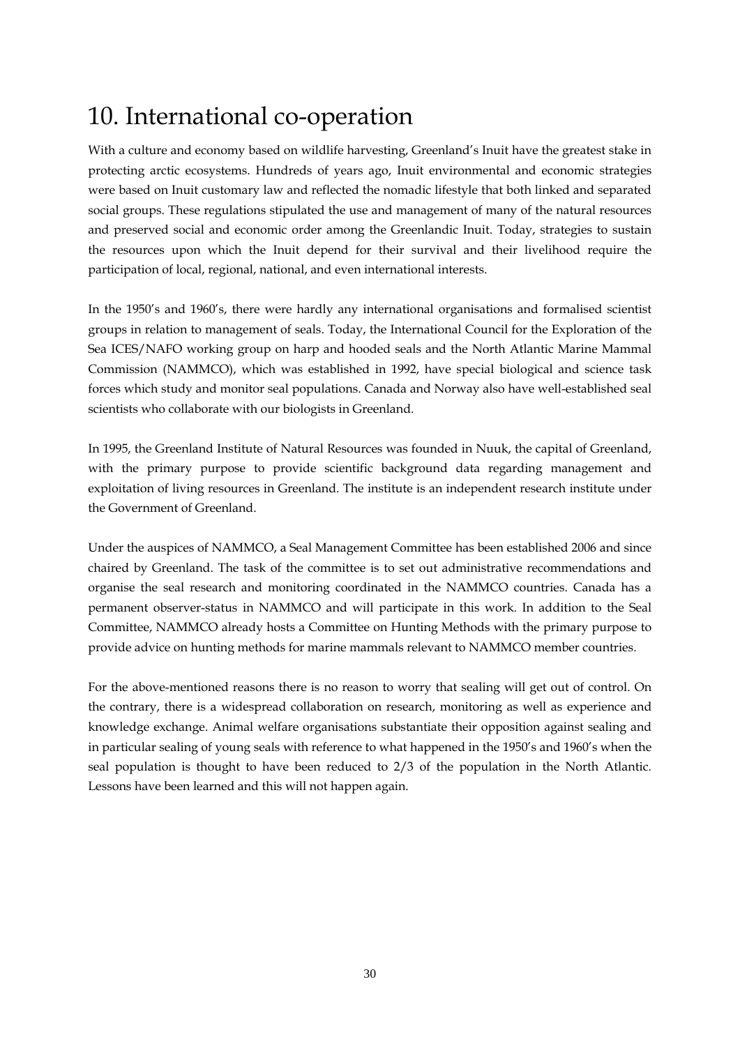## 10. International co-operation

With a culture and economy based on wildlife harvesting, Greenland's Inuit have the greatest stake in protecting arctic ecosystems. Hundreds of years ago, Inuit environmental and economic strategies were based on Inuit customary law and reflected the nomadic lifestyle that both linked and separated social groups. These regulations stipulated the use and management of many of the natural resources and preserved social and economic order among the Greenlandic Inuit. Today, strategies to sustain the resources upon which the Inuit depend for their survival and their livelihood require the participation of local, regional, national, and even international interests.

In the 1950's and 1960's, there were hardly any international organisations and formalised scientist groups in relation to management of seals. Today, the International Council for the Exploration of the Sea ICES/NAFO working group on harp and hooded seals and the North Atlantic Marine Mammal Commission (NAMMCO), which was established in 1992, have special biological and science task forces which study and monitor seal populations. Canada and Norway also have well-established seal scientists who collaborate with our biologists in Greenland.

In 1995, the Greenland Institute of Natural Resources was founded in Nuuk, the capital of Greenland, with the primary purpose to provide scientific background data regarding management and exploitation of living resources in Greenland. The institute is an independent research institute under the Government of Greenland.

Under the auspices of NAMMCO, a Seal Management Committee has been established 2006 and since chaired by Greenland. The task of the committee is to set out administrative recommendations and organise the seal research and monitoring coordinated in the NAMMCO countries. Canada has a permanent observer-status in NAMMCO and will participate in this work. In addition to the Seal Committee, NAMMCO already hosts a Committee on Hunting Methods with the primary purpose to provide advice on hunting methods for marine mammals relevant to NAMMCO member countries.

For the above-mentioned reasons there is no reason to worry that sealing will get out of control. On the contrary, there is a widespread collaboration on research, monitoring as well as experience and knowledge exchange. Animal welfare organisations substantiate their opposition against sealing and in particular sealing of young seals with reference to what happened in the 1950's and 1960's when the seal population is thought to have been reduced to 2/3 of the population in the North Atlantic. Lessons have been learned and this will not happen again.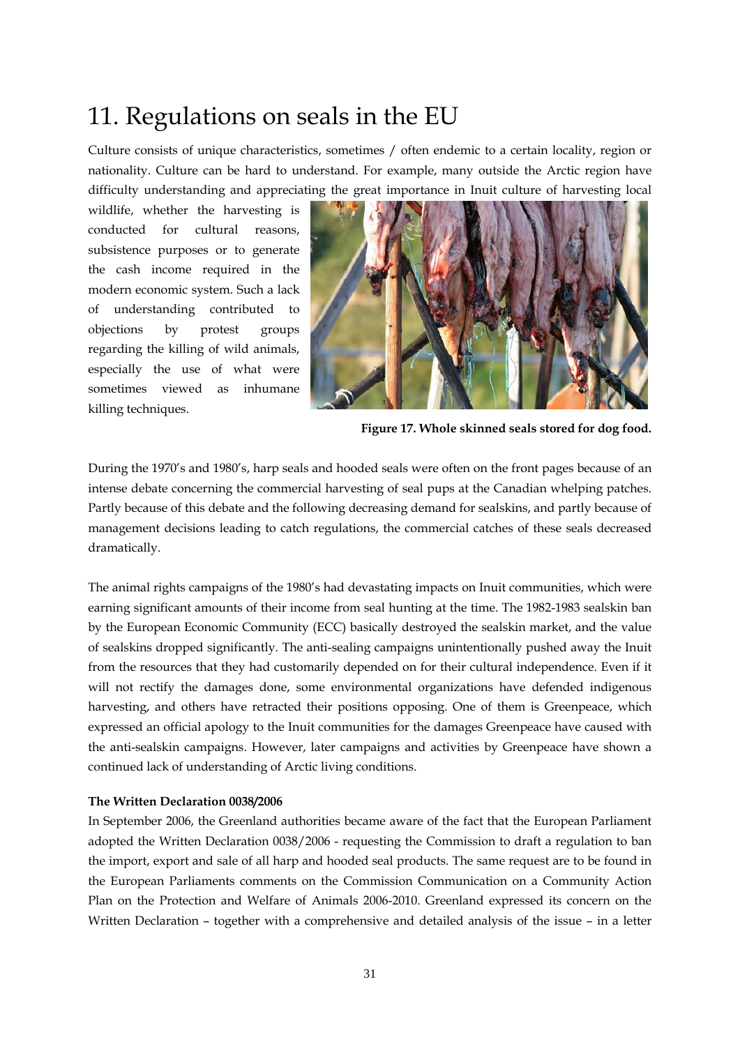### 11. Regulations on seals in the EU

Culture consists of unique characteristics, sometimes / often endemic to a certain locality, region or nationality. Culture can be hard to understand. For example, many outside the Arctic region have difficulty understanding and appreciating the great importance in Inuit culture of harvesting local

wildlife, whether the harvesting is conducted for cultural reasons, subsistence purposes or to generate the cash income required in the modern economic system. Such a lack of understanding contributed to objections by protest groups regarding the killing of wild animals, especially the use of what were sometimes viewed as inhumane killing techniques.



**Figure 17. Whole skinned seals stored for dog food.** 

During the 1970's and 1980's, harp seals and hooded seals were often on the front pages because of an intense debate concerning the commercial harvesting of seal pups at the Canadian whelping patches. Partly because of this debate and the following decreasing demand for sealskins, and partly because of management decisions leading to catch regulations, the commercial catches of these seals decreased dramatically.

The animal rights campaigns of the 1980's had devastating impacts on Inuit communities, which were earning significant amounts of their income from seal hunting at the time. The 1982-1983 sealskin ban by the European Economic Community (ECC) basically destroyed the sealskin market, and the value of sealskins dropped significantly. The anti-sealing campaigns unintentionally pushed away the Inuit from the resources that they had customarily depended on for their cultural independence. Even if it will not rectify the damages done, some environmental organizations have defended indigenous harvesting, and others have retracted their positions opposing. One of them is Greenpeace, which expressed an official apology to the Inuit communities for the damages Greenpeace have caused with the anti-sealskin campaigns. However, later campaigns and activities by Greenpeace have shown a continued lack of understanding of Arctic living conditions.

### **The Written Declaration 0038/2006**

In September 2006, the Greenland authorities became aware of the fact that the European Parliament adopted the Written Declaration 0038/2006 - requesting the Commission to draft a regulation to ban the import, export and sale of all harp and hooded seal products. The same request are to be found in the European Parliaments comments on the Commission Communication on a Community Action Plan on the Protection and Welfare of Animals 2006-2010. Greenland expressed its concern on the Written Declaration – together with a comprehensive and detailed analysis of the issue – in a letter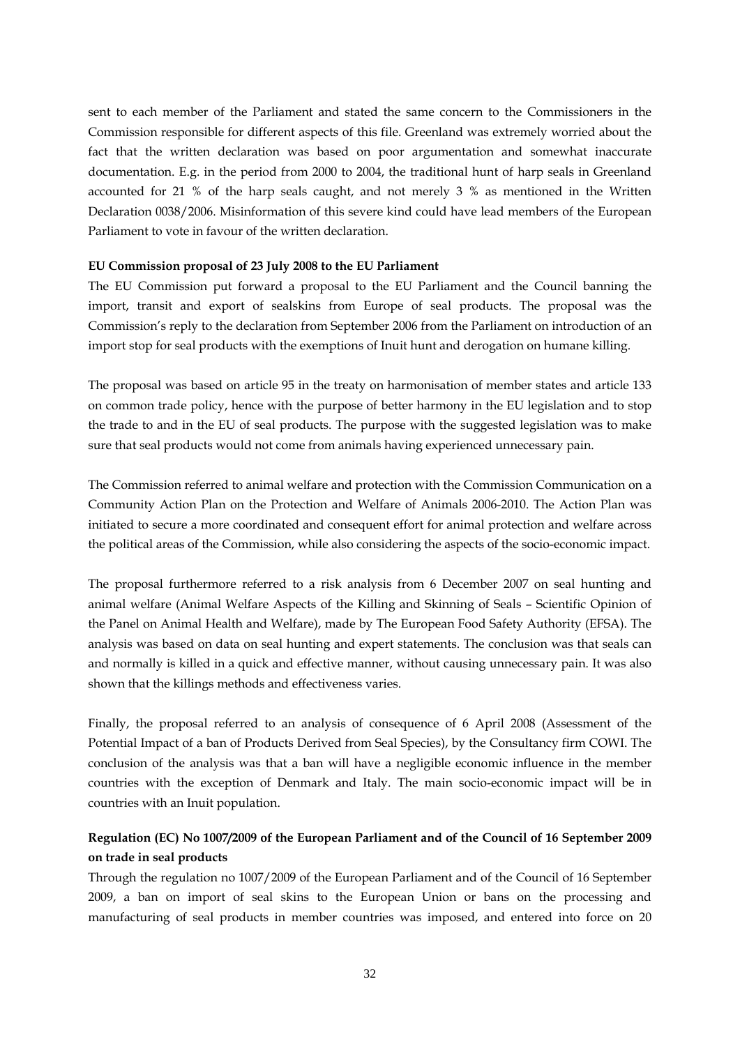sent to each member of the Parliament and stated the same concern to the Commissioners in the Commission responsible for different aspects of this file. Greenland was extremely worried about the fact that the written declaration was based on poor argumentation and somewhat inaccurate documentation. E.g. in the period from 2000 to 2004, the traditional hunt of harp seals in Greenland accounted for 21 % of the harp seals caught, and not merely 3 % as mentioned in the Written Declaration 0038/2006. Misinformation of this severe kind could have lead members of the European Parliament to vote in favour of the written declaration.

### **EU Commission proposal of 23 July 2008 to the EU Parliament**

The EU Commission put forward a proposal to the EU Parliament and the Council banning the import, transit and export of sealskins from Europe of seal products. The proposal was the Commission's reply to the declaration from September 2006 from the Parliament on introduction of an import stop for seal products with the exemptions of Inuit hunt and derogation on humane killing.

The proposal was based on article 95 in the treaty on harmonisation of member states and article 133 on common trade policy, hence with the purpose of better harmony in the EU legislation and to stop the trade to and in the EU of seal products. The purpose with the suggested legislation was to make sure that seal products would not come from animals having experienced unnecessary pain.

The Commission referred to animal welfare and protection with the Commission Communication on a Community Action Plan on the Protection and Welfare of Animals 2006-2010. The Action Plan was initiated to secure a more coordinated and consequent effort for animal protection and welfare across the political areas of the Commission, while also considering the aspects of the socio-economic impact.

The proposal furthermore referred to a risk analysis from 6 December 2007 on seal hunting and animal welfare (Animal Welfare Aspects of the Killing and Skinning of Seals – Scientific Opinion of the Panel on Animal Health and Welfare), made by The European Food Safety Authority (EFSA). The analysis was based on data on seal hunting and expert statements. The conclusion was that seals can and normally is killed in a quick and effective manner, without causing unnecessary pain. It was also shown that the killings methods and effectiveness varies.

Finally, the proposal referred to an analysis of consequence of 6 April 2008 (Assessment of the Potential Impact of a ban of Products Derived from Seal Species), by the Consultancy firm COWI. The conclusion of the analysis was that a ban will have a negligible economic influence in the member countries with the exception of Denmark and Italy. The main socio-economic impact will be in countries with an Inuit population.

### **Regulation (EC) No 1007/2009 of the European Parliament and of the Council of 16 September 2009 on trade in seal products**

Through the regulation no 1007/2009 of the European Parliament and of the Council of 16 September 2009, a ban on import of seal skins to the European Union or bans on the processing and manufacturing of seal products in member countries was imposed, and entered into force on 20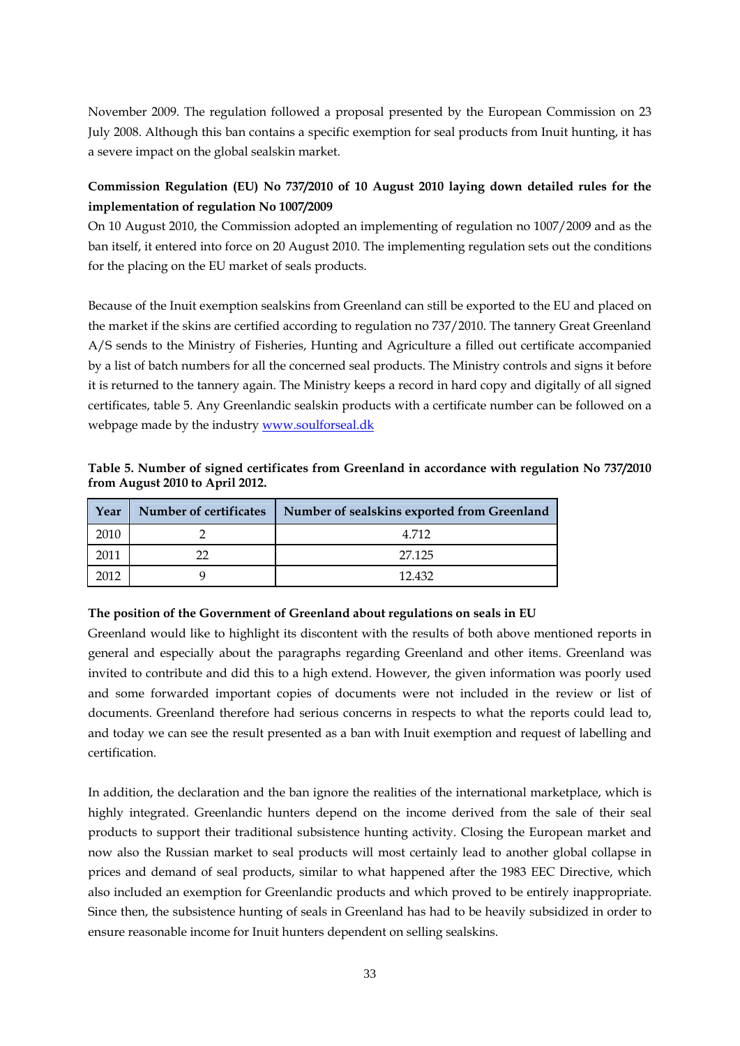November 2009. The regulation followed a proposal presented by the European Commission on 23 July 2008. Although this ban contains a specific exemption for seal products from Inuit hunting, it has a severe impact on the global sealskin market.

### **Commission Regulation (EU) No 737/2010 of 10 August 2010 laying down detailed rules for the implementation of regulation No 1007/2009**

On 10 August 2010, the Commission adopted an implementing of regulation no 1007/2009 and as the ban itself, it entered into force on 20 August 2010. The implementing regulation sets out the conditions for the placing on the EU market of seals products.

Because of the Inuit exemption sealskins from Greenland can still be exported to the EU and placed on the market if the skins are certified according to regulation no 737/2010. The tannery Great Greenland A/S sends to the Ministry of Fisheries, Hunting and Agriculture a filled out certificate accompanied by a list of batch numbers for all the concerned seal products. The Ministry controls and signs it before it is returned to the tannery again. The Ministry keeps a record in hard copy and digitally of all signed certificates, table 5. Any Greenlandic sealskin products with a certificate number can be followed on a webpage made by the industry www.soulforseal.dk

**Table 5. Number of signed certificates from Greenland in accordance with regulation No 737/2010 from August 2010 to April 2012.** 

| Year | Number of certificates | Number of sealskins exported from Greenland |
|------|------------------------|---------------------------------------------|
| 2010 |                        | 4.712                                       |
| 2011 |                        | 27.125                                      |
| 2012 |                        | 12.432                                      |

### **The position of the Government of Greenland about regulations on seals in EU**

Greenland would like to highlight its discontent with the results of both above mentioned reports in general and especially about the paragraphs regarding Greenland and other items. Greenland was invited to contribute and did this to a high extend. However, the given information was poorly used and some forwarded important copies of documents were not included in the review or list of documents. Greenland therefore had serious concerns in respects to what the reports could lead to, and today we can see the result presented as a ban with Inuit exemption and request of labelling and certification.

In addition, the declaration and the ban ignore the realities of the international marketplace, which is highly integrated. Greenlandic hunters depend on the income derived from the sale of their seal products to support their traditional subsistence hunting activity. Closing the European market and now also the Russian market to seal products will most certainly lead to another global collapse in prices and demand of seal products, similar to what happened after the 1983 EEC Directive, which also included an exemption for Greenlandic products and which proved to be entirely inappropriate. Since then, the subsistence hunting of seals in Greenland has had to be heavily subsidized in order to ensure reasonable income for Inuit hunters dependent on selling sealskins.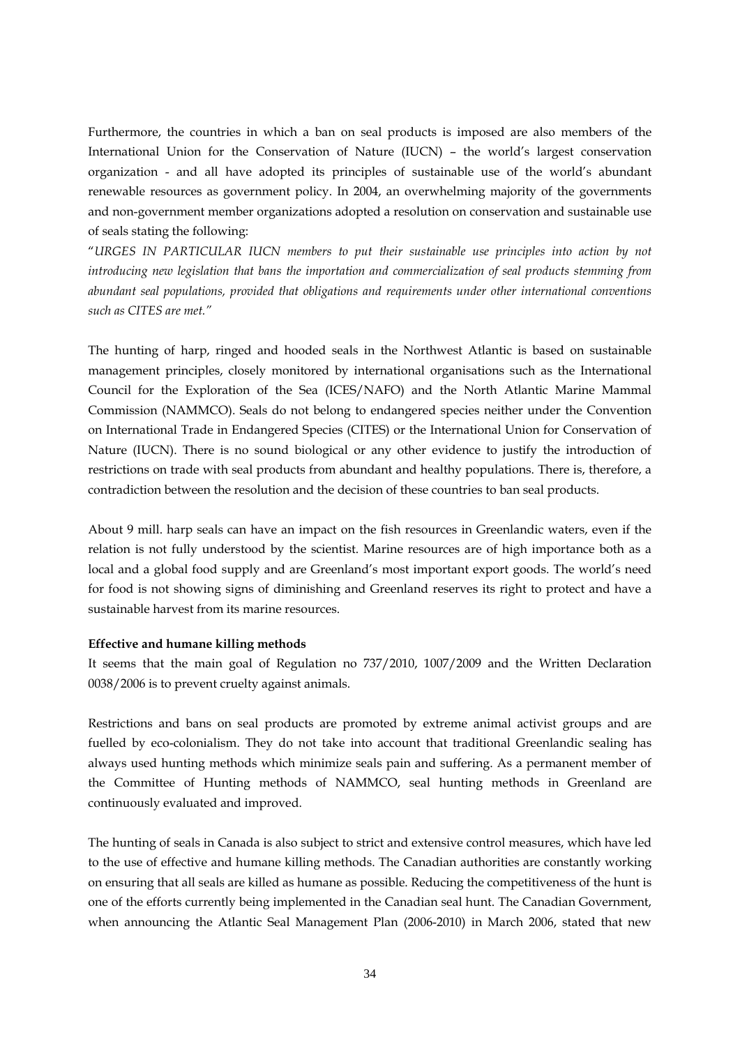Furthermore, the countries in which a ban on seal products is imposed are also members of the International Union for the Conservation of Nature (IUCN) – the world's largest conservation organization - and all have adopted its principles of sustainable use of the world's abundant renewable resources as government policy. In 2004, an overwhelming majority of the governments and non-government member organizations adopted a resolution on conservation and sustainable use of seals stating the following:

"*URGES IN PARTICULAR IUCN members to put their sustainable use principles into action by not introducing new legislation that bans the importation and commercialization of seal products stemming from abundant seal populations, provided that obligations and requirements under other international conventions such as CITES are met."* 

The hunting of harp, ringed and hooded seals in the Northwest Atlantic is based on sustainable management principles, closely monitored by international organisations such as the International Council for the Exploration of the Sea (ICES/NAFO) and the North Atlantic Marine Mammal Commission (NAMMCO). Seals do not belong to endangered species neither under the Convention on International Trade in Endangered Species (CITES) or the International Union for Conservation of Nature (IUCN). There is no sound biological or any other evidence to justify the introduction of restrictions on trade with seal products from abundant and healthy populations. There is, therefore, a contradiction between the resolution and the decision of these countries to ban seal products.

About 9 mill. harp seals can have an impact on the fish resources in Greenlandic waters, even if the relation is not fully understood by the scientist. Marine resources are of high importance both as a local and a global food supply and are Greenland's most important export goods. The world's need for food is not showing signs of diminishing and Greenland reserves its right to protect and have a sustainable harvest from its marine resources.

### **Effective and humane killing methods**

It seems that the main goal of Regulation no 737/2010, 1007/2009 and the Written Declaration 0038/2006 is to prevent cruelty against animals.

Restrictions and bans on seal products are promoted by extreme animal activist groups and are fuelled by eco-colonialism. They do not take into account that traditional Greenlandic sealing has always used hunting methods which minimize seals pain and suffering. As a permanent member of the Committee of Hunting methods of NAMMCO, seal hunting methods in Greenland are continuously evaluated and improved.

The hunting of seals in Canada is also subject to strict and extensive control measures, which have led to the use of effective and humane killing methods. The Canadian authorities are constantly working on ensuring that all seals are killed as humane as possible. Reducing the competitiveness of the hunt is one of the efforts currently being implemented in the Canadian seal hunt. The Canadian Government, when announcing the Atlantic Seal Management Plan (2006-2010) in March 2006, stated that new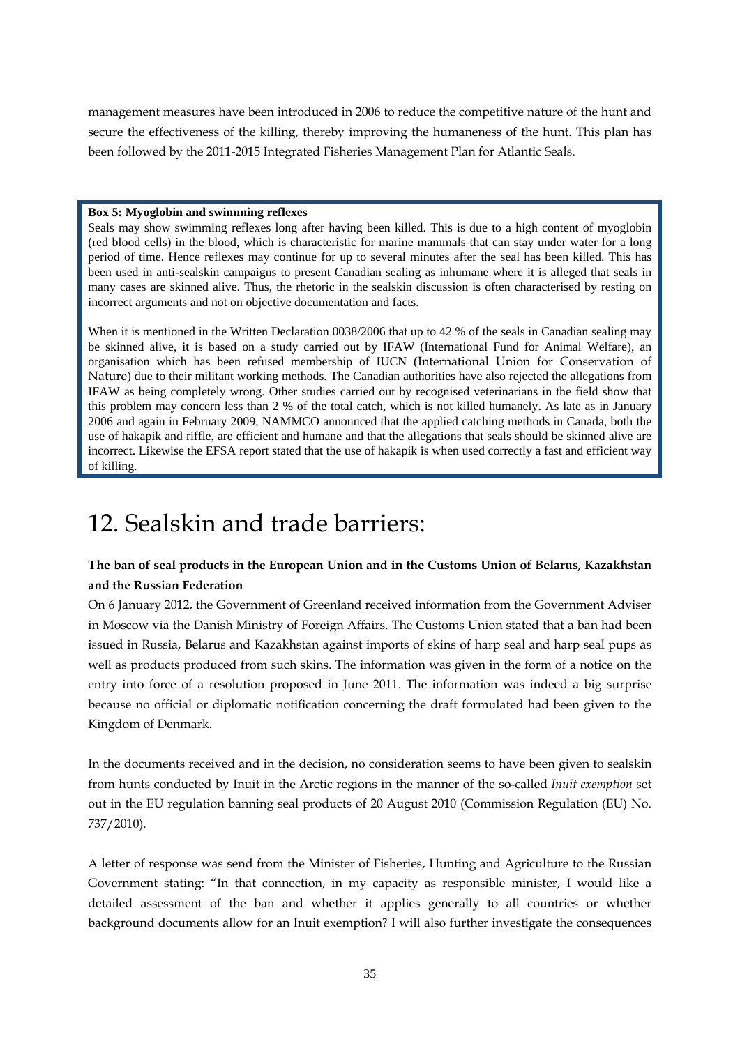management measures have been introduced in 2006 to reduce the competitive nature of the hunt and secure the effectiveness of the killing, thereby improving the humaneness of the hunt. This plan has been followed by the 2011-2015 Integrated Fisheries Management Plan for Atlantic Seals.

### **Box 5: Myoglobin and swimming reflexes**

Seals may show swimming reflexes long after having been killed. This is due to a high content of myoglobin (red blood cells) in the blood, which is characteristic for marine mammals that can stay under water for a long period of time. Hence reflexes may continue for up to several minutes after the seal has been killed. This has been used in anti-sealskin campaigns to present Canadian sealing as inhumane where it is alleged that seals in many cases are skinned alive. Thus, the rhetoric in the sealskin discussion is often characterised by resting on incorrect arguments and not on objective documentation and facts.

When it is mentioned in the Written Declaration 0038/2006 that up to 42 % of the seals in Canadian sealing may be skinned alive, it is based on a study carried out by IFAW (International Fund for Animal Welfare), an organisation which has been refused membership of IUCN (International Union for Conservation of Nature) due to their militant working methods. The Canadian authorities have also rejected the allegations from IFAW as being completely wrong. Other studies carried out by recognised veterinarians in the field show that this problem may concern less than 2 % of the total catch, which is not killed humanely. As late as in January 2006 and again in February 2009, NAMMCO announced that the applied catching methods in Canada, both the use of hakapik and riffle, are efficient and humane and that the allegations that seals should be skinned alive are incorrect. Likewise the EFSA report stated that the use of hakapik is when used correctly a fast and efficient way of killing.

## 12. Sealskin and trade barriers:

### **The ban of seal products in the European Union and in the Customs Union of Belarus, Kazakhstan and the Russian Federation**

On 6 January 2012, the Government of Greenland received information from the Government Adviser in Moscow via the Danish Ministry of Foreign Affairs. The Customs Union stated that a ban had been issued in Russia, Belarus and Kazakhstan against imports of skins of harp seal and harp seal pups as well as products produced from such skins. The information was given in the form of a notice on the entry into force of a resolution proposed in June 2011. The information was indeed a big surprise because no official or diplomatic notification concerning the draft formulated had been given to the Kingdom of Denmark.

In the documents received and in the decision, no consideration seems to have been given to sealskin from hunts conducted by Inuit in the Arctic regions in the manner of the so-called *Inuit exemption* set out in the EU regulation banning seal products of 20 August 2010 (Commission Regulation (EU) No. 737/2010).

A letter of response was send from the Minister of Fisheries, Hunting and Agriculture to the Russian Government stating: "In that connection, in my capacity as responsible minister, I would like a detailed assessment of the ban and whether it applies generally to all countries or whether background documents allow for an Inuit exemption? I will also further investigate the consequences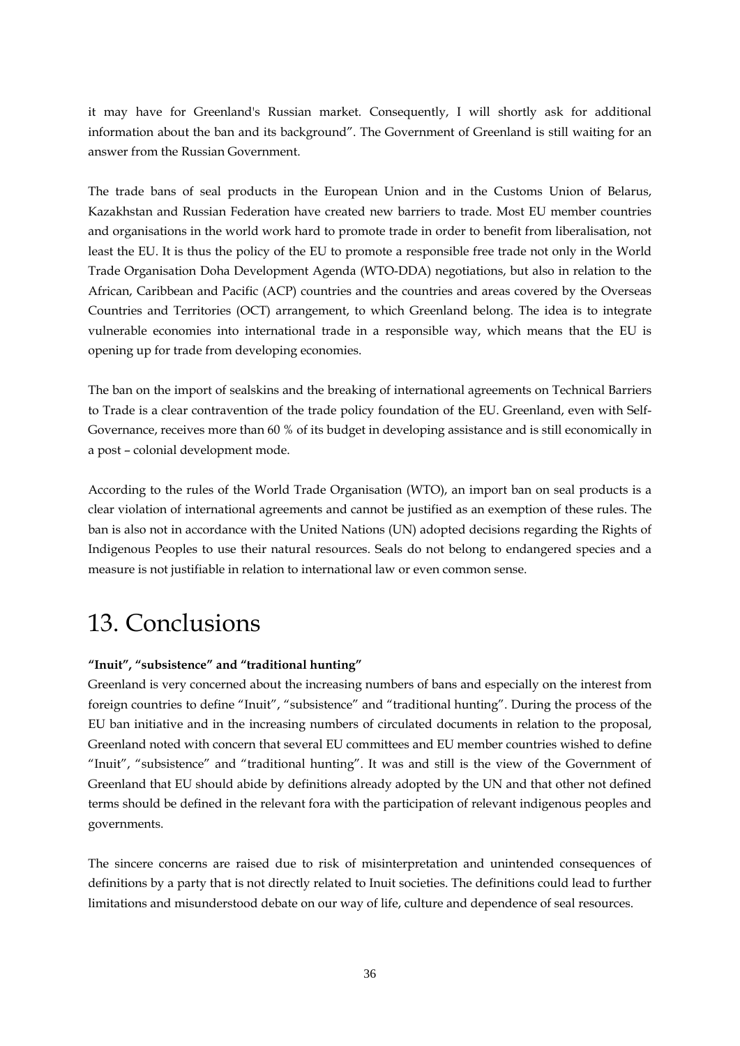it may have for Greenland's Russian market. Consequently, I will shortly ask for additional information about the ban and its background". The Government of Greenland is still waiting for an answer from the Russian Government.

The trade bans of seal products in the European Union and in the Customs Union of Belarus, Kazakhstan and Russian Federation have created new barriers to trade. Most EU member countries and organisations in the world work hard to promote trade in order to benefit from liberalisation, not least the EU. It is thus the policy of the EU to promote a responsible free trade not only in the World Trade Organisation Doha Development Agenda (WTO-DDA) negotiations, but also in relation to the African, Caribbean and Pacific (ACP) countries and the countries and areas covered by the Overseas Countries and Territories (OCT) arrangement, to which Greenland belong. The idea is to integrate vulnerable economies into international trade in a responsible way, which means that the EU is opening up for trade from developing economies.

The ban on the import of sealskins and the breaking of international agreements on Technical Barriers to Trade is a clear contravention of the trade policy foundation of the EU. Greenland, even with Self-Governance, receives more than 60 % of its budget in developing assistance and is still economically in a post – colonial development mode.

According to the rules of the World Trade Organisation (WTO), an import ban on seal products is a clear violation of international agreements and cannot be justified as an exemption of these rules. The ban is also not in accordance with the United Nations (UN) adopted decisions regarding the Rights of Indigenous Peoples to use their natural resources. Seals do not belong to endangered species and a measure is not justifiable in relation to international law or even common sense.

## 13. Conclusions

### **"Inuit", "subsistence" and "traditional hunting"**

Greenland is very concerned about the increasing numbers of bans and especially on the interest from foreign countries to define "Inuit", "subsistence" and "traditional hunting". During the process of the EU ban initiative and in the increasing numbers of circulated documents in relation to the proposal, Greenland noted with concern that several EU committees and EU member countries wished to define "Inuit", "subsistence" and "traditional hunting". It was and still is the view of the Government of Greenland that EU should abide by definitions already adopted by the UN and that other not defined terms should be defined in the relevant fora with the participation of relevant indigenous peoples and governments.

The sincere concerns are raised due to risk of misinterpretation and unintended consequences of definitions by a party that is not directly related to Inuit societies. The definitions could lead to further limitations and misunderstood debate on our way of life, culture and dependence of seal resources.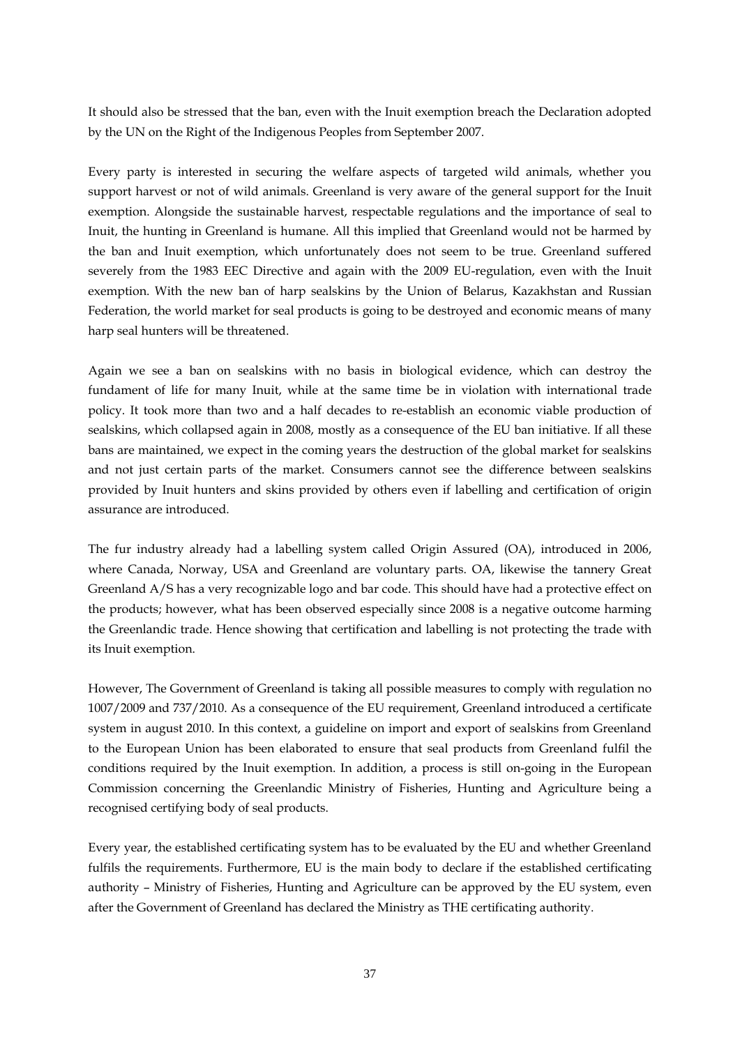It should also be stressed that the ban, even with the Inuit exemption breach the Declaration adopted by the UN on the Right of the Indigenous Peoples from September 2007.

Every party is interested in securing the welfare aspects of targeted wild animals, whether you support harvest or not of wild animals. Greenland is very aware of the general support for the Inuit exemption. Alongside the sustainable harvest, respectable regulations and the importance of seal to Inuit, the hunting in Greenland is humane. All this implied that Greenland would not be harmed by the ban and Inuit exemption, which unfortunately does not seem to be true. Greenland suffered severely from the 1983 EEC Directive and again with the 2009 EU-regulation, even with the Inuit exemption. With the new ban of harp sealskins by the Union of Belarus, Kazakhstan and Russian Federation, the world market for seal products is going to be destroyed and economic means of many harp seal hunters will be threatened.

Again we see a ban on sealskins with no basis in biological evidence, which can destroy the fundament of life for many Inuit, while at the same time be in violation with international trade policy. It took more than two and a half decades to re-establish an economic viable production of sealskins, which collapsed again in 2008, mostly as a consequence of the EU ban initiative. If all these bans are maintained, we expect in the coming years the destruction of the global market for sealskins and not just certain parts of the market. Consumers cannot see the difference between sealskins provided by Inuit hunters and skins provided by others even if labelling and certification of origin assurance are introduced.

The fur industry already had a labelling system called Origin Assured (OA), introduced in 2006, where Canada, Norway, USA and Greenland are voluntary parts. OA, likewise the tannery Great Greenland A/S has a very recognizable logo and bar code. This should have had a protective effect on the products; however, what has been observed especially since 2008 is a negative outcome harming the Greenlandic trade. Hence showing that certification and labelling is not protecting the trade with its Inuit exemption.

However, The Government of Greenland is taking all possible measures to comply with regulation no 1007/2009 and 737/2010. As a consequence of the EU requirement, Greenland introduced a certificate system in august 2010. In this context, a guideline on import and export of sealskins from Greenland to the European Union has been elaborated to ensure that seal products from Greenland fulfil the conditions required by the Inuit exemption. In addition, a process is still on-going in the European Commission concerning the Greenlandic Ministry of Fisheries, Hunting and Agriculture being a recognised certifying body of seal products.

Every year, the established certificating system has to be evaluated by the EU and whether Greenland fulfils the requirements. Furthermore, EU is the main body to declare if the established certificating authority – Ministry of Fisheries, Hunting and Agriculture can be approved by the EU system, even after the Government of Greenland has declared the Ministry as THE certificating authority.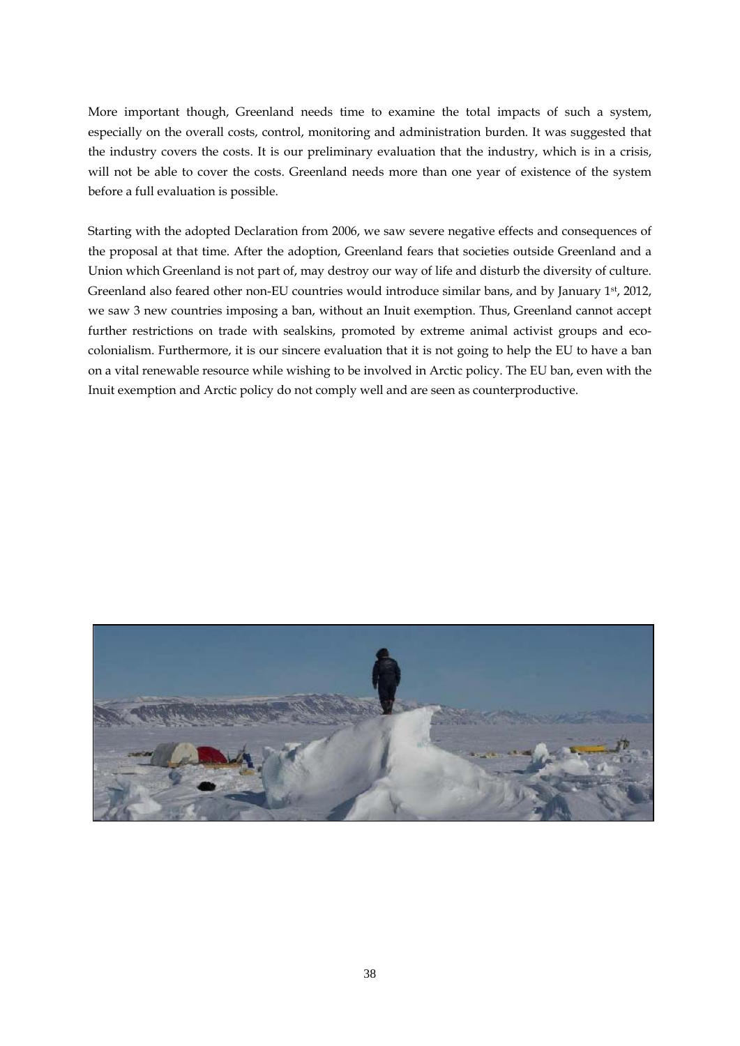More important though, Greenland needs time to examine the total impacts of such a system, especially on the overall costs, control, monitoring and administration burden. It was suggested that the industry covers the costs. It is our preliminary evaluation that the industry, which is in a crisis, will not be able to cover the costs. Greenland needs more than one year of existence of the system before a full evaluation is possible.

Starting with the adopted Declaration from 2006, we saw severe negative effects and consequences of the proposal at that time. After the adoption, Greenland fears that societies outside Greenland and a Union which Greenland is not part of, may destroy our way of life and disturb the diversity of culture. Greenland also feared other non-EU countries would introduce similar bans, and by January 1st, 2012, we saw 3 new countries imposing a ban, without an Inuit exemption. Thus, Greenland cannot accept further restrictions on trade with sealskins, promoted by extreme animal activist groups and ecocolonialism. Furthermore, it is our sincere evaluation that it is not going to help the EU to have a ban on a vital renewable resource while wishing to be involved in Arctic policy. The EU ban, even with the Inuit exemption and Arctic policy do not comply well and are seen as counterproductive.